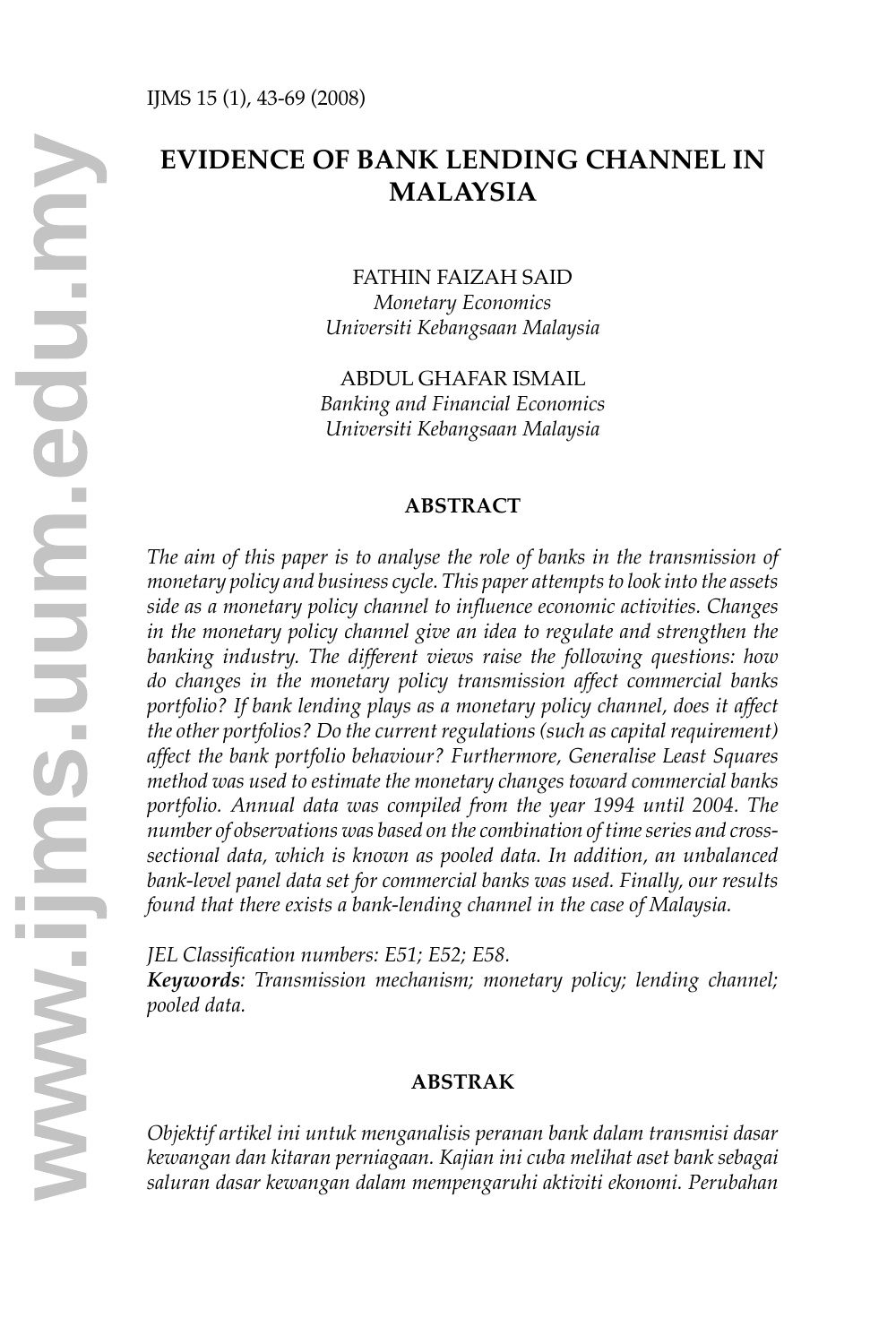# **EVIDENCE OF BANK LENDING CHANNEL IN MALAYSIA**

### FATHIN FAIZAH SAID

*Monetary Economics Universiti Kebangsaan Malaysia*

ABDUL GHAFAR ISMAIL *Banking and Financial Economics Universiti Kebangsaan Malaysia*

#### **ABSTRACT**

*The aim of this paper is to analyse the role of banks in the transmission of monetary policy and business cycle. This paper attempts to look into the assets side as a monetary policy channel to influence economic activities. Changes in the monetary policy channel give an idea to regulate and strengthen the banking industry. The different views raise the following questions: how do changes in the monetary policy transmission affect commercial banks portfolio? If bank lending plays as a monetary policy channel, does it affect the other portfolios? Do the current regulations (such as capital requirement) affect the bank portfolio behaviour? Furthermore, Generalise Least Squares method was used to estimate the monetary changes toward commercial banks*  portfolio. Annual data was compiled from the year 1994 until 2004. The *number of observations was based on the combination of time series and crosssectional data, which is known as pooled data. In addition, an unbalanced bank-level panel data set for commercial banks was used. Finally, our results found that there exists a bank-lending channel in the case of Malaysia.* 

*JEL Classification numbers: E51; E52; E58.* 

*Keywords: Transmission mechanism; monetary policy; lending channel; pooled data.*

### **ABSTRAK**

*Objektif artikel ini untuk menganalisis peranan bank dalam transmisi dasar kewangan dan kitaran perniagaan. Kajian ini cuba melihat aset bank sebagai saluran dasar kewangan dalam mempengaruhi aktiviti ekonomi. Perubahan*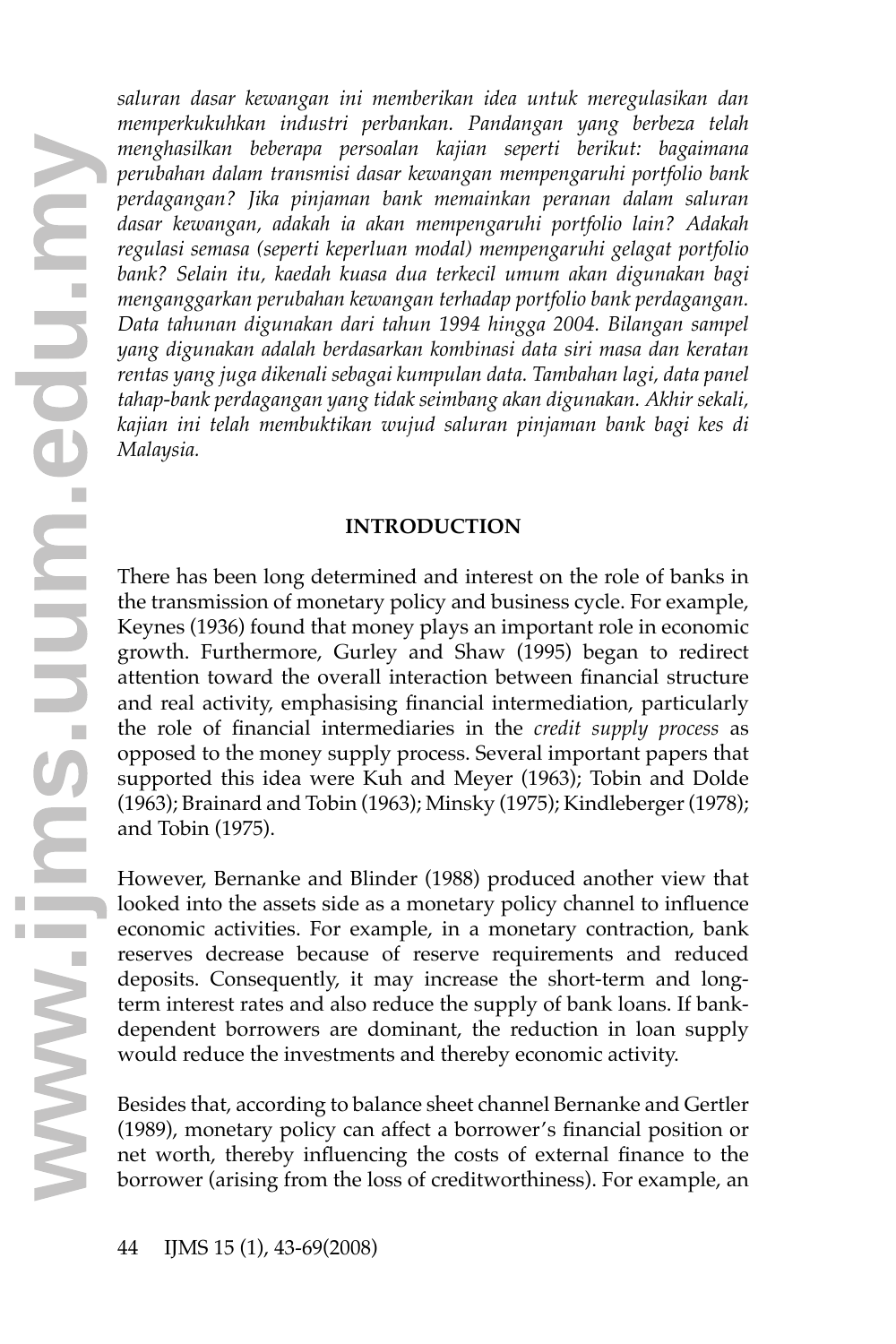*saluran dasar kewangan ini memberikan idea untuk meregulasikan dan memperkukuhkan industri perbankan. Pandangan yang berbeza telah menghasilkan beberapa persoalan kajian seperti berikut: bagaimana perubahan dalam transmisi dasar kewangan mempengaruhi portfolio bank perdagangan? Jika pinjaman bank memainkan peranan dalam saluran dasar kewangan, adakah ia akan mempengaruhi portfolio lain? Adakah regulasi semasa (seperti keperluan modal) mempengaruhi gelagat portfolio bank? Selain itu, kaedah kuasa dua terkecil umum akan digunakan bagi menganggarkan perubahan kewangan terhadap portfolio bank perdagangan. Data tahunan digunakan dari tahun 1994 hingga 2004. Bilangan sampel yang digunakan adalah berdasarkan kombinasi data siri masa dan keratan rentas yang juga dikenali sebagai kumpulan data. Tambahan lagi, data panel tahap-bank perdagangan yang tidak seimbang akan digunakan. Akhir sekali, kajian ini telah membuktikan wujud saluran pinjaman bank bagi kes di Malaysia.*

### **INTRODUCTION**

There has been long determined and interest on the role of banks in the transmission of monetary policy and business cycle. For example, Keynes (1936) found that money plays an important role in economic growth. Furthermore, Gurley and Shaw (1995) began to redirect attention toward the overall interaction between financial structure and real activity, emphasising financial intermediation, particularly the role of financial intermediaries in the *credit supply process* as opposed to the money supply process. Several important papers that supported this idea were Kuh and Meyer (1963); Tobin and Dolde (1963); Brainard and Tobin (1963); Minsky (1975); Kindleberger (1978); and Tobin (1975).

However, Bernanke and Blinder (1988) produced another view that looked into the assets side as a monetary policy channel to influence economic activities. For example, in a monetary contraction, bank reserves decrease because of reserve requirements and reduced deposits. Consequently, it may increase the short-term and longterm interest rates and also reduce the supply of bank loans. If bankdependent borrowers are dominant, the reduction in loan supply would reduce the investments and thereby economic activity.

Besides that, according to balance sheet channel Bernanke and Gertler (1989), monetary policy can affect a borrower's financial position or net worth, thereby influencing the costs of external finance to the borrower (arising from the loss of creditworthiness). For example, an **<sup>w</sup>**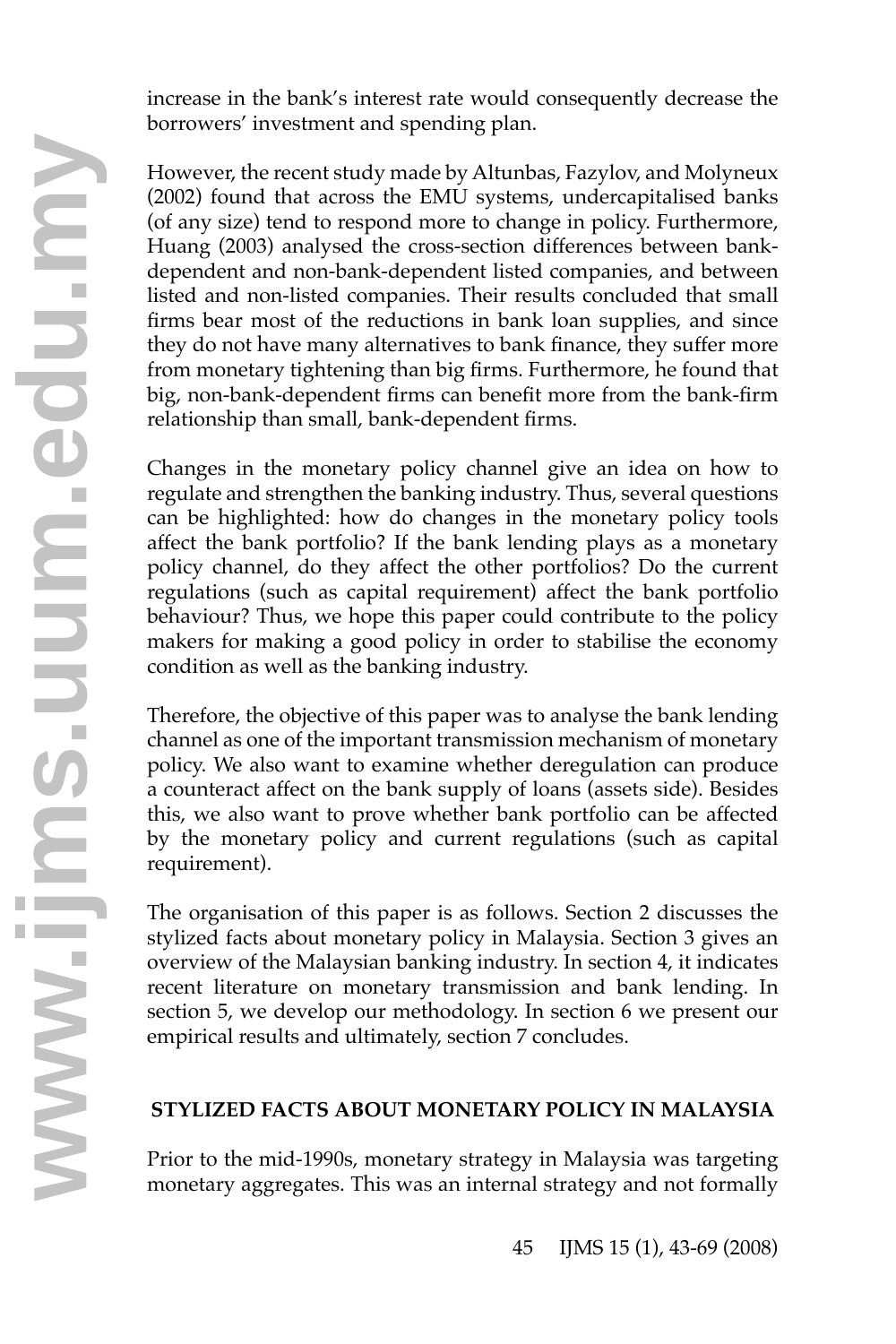increase in the bank's interest rate would consequently decrease the borrowers' investment and spending plan.

However, the recent study made by Altunbas, Fazylov, and Molyneux (2002) found that across the EMU systems, undercapitalised banks (of any size) tend to respond more to change in policy. Furthermore, Huang (2003) analysed the cross-section differences between bankdependent and non-bank-dependent listed companies, and between listed and non-listed companies. Their results concluded that small firms bear most of the reductions in bank loan supplies, and since they do not have many alternatives to bank finance, they suffer more from monetary tightening than big firms. Furthermore, he found that big, non-bank-dependent firms can benefit more from the bank-firm relationship than small, bank-dependent firms.

Changes in the monetary policy channel give an idea on how to regulate and strengthen the banking industry. Thus, several questions can be highlighted: how do changes in the monetary policy tools affect the bank portfolio? If the bank lending plays as a monetary policy channel, do they affect the other portfolios? Do the current regulations (such as capital requirement) affect the bank portfolio behaviour? Thus, we hope this paper could contribute to the policy makers for making a good policy in order to stabilise the economy condition as well as the banking industry.

Therefore, the objective of this paper was to analyse the bank lending channel as one of the important transmission mechanism of monetary policy. We also want to examine whether deregulation can produce a counteract affect on the bank supply of loans (assets side). Besides this, we also want to prove whether bank portfolio can be affected by the monetary policy and current regulations (such as capital requirement).

The organisation of this paper is as follows. Section 2 discusses the stylized facts about monetary policy in Malaysia. Section 3 gives an overview of the Malaysian banking industry. In section 4, it indicates recent literature on monetary transmission and bank lending. In section 5, we develop our methodology. In section 6 we present our empirical results and ultimately, section 7 concludes.

# **STYLIZED FACTS ABOUT MONETARY POLICY IN MALAYSIA**

Prior to the mid-1990s, monetary strategy in Malaysia was targeting **STYLIZED FACTS ABOUT MONETARY POLICY IN MALAYSIA**<br>Prior to the mid-1990s, monetary strategy in Malaysia was targeting<br>monetary aggregates. This was an internal strategy and not formally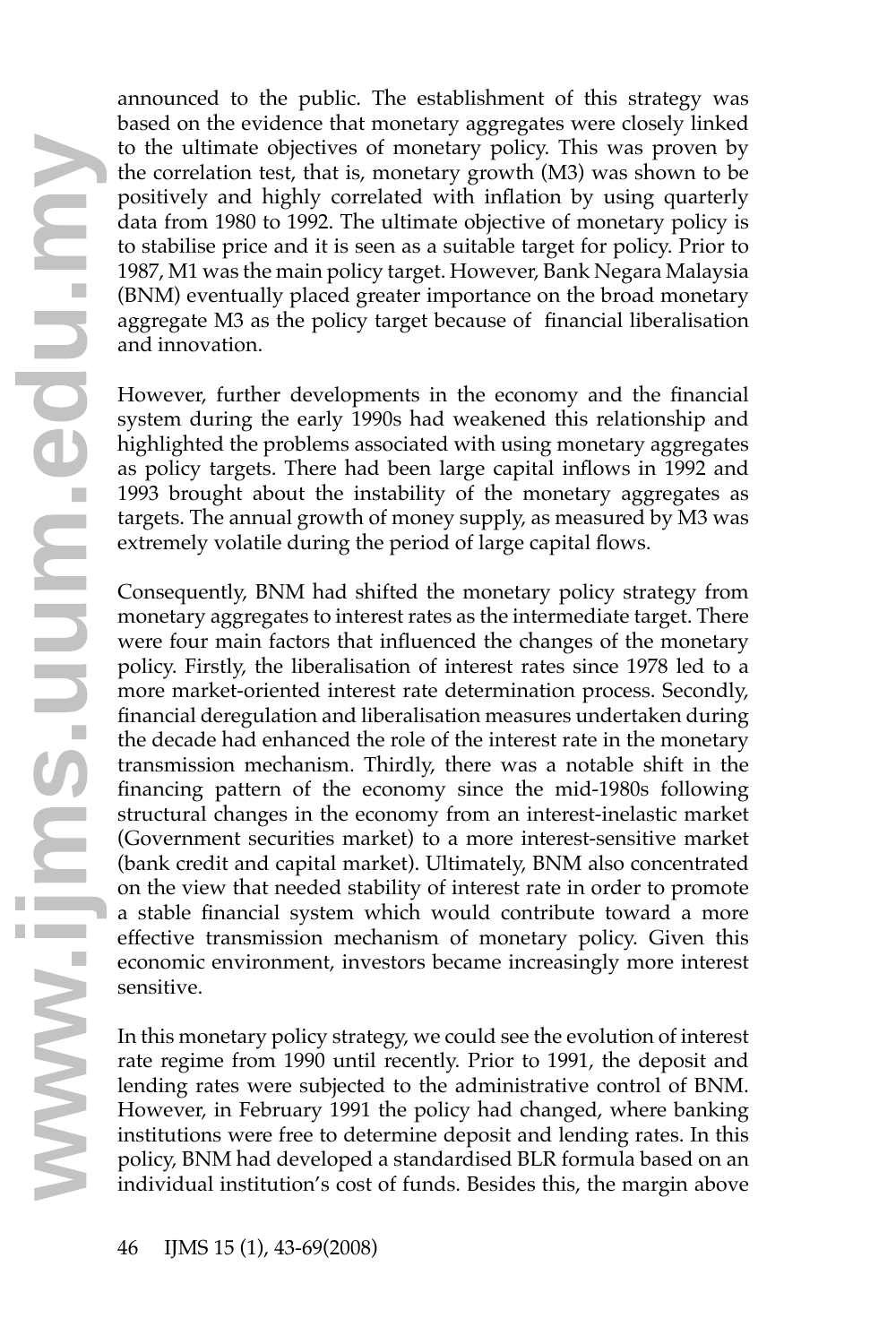announced to the public. The establishment of this strategy was based on the evidence that monetary aggregates were closely linked to the ultimate objectives of monetary policy. This was proven by the correlation test, that is, monetary growth (M3) was shown to be positively and highly correlated with inflation by using quarterly data from 1980 to 1992. The ultimate objective of monetary policy is to stabilise price and it is seen as a suitable target for policy. Prior to 1987, M1 was the main policy target. However, Bank Negara Malaysia (BNM) eventually placed greater importance on the broad monetary aggregate M3 as the policy target because of financial liberalisation and innovation.

However, further developments in the economy and the financial system during the early 1990s had weakened this relationship and highlighted the problems associated with using monetary aggregates as policy targets. There had been large capital inflows in 1992 and 1993 brought about the instability of the monetary aggregates as targets. The annual growth of money supply, as measured by M3 was extremely volatile during the period of large capital flows.

Consequently, BNM had shifted the monetary policy strategy from monetary aggregates to interest rates as the intermediate target. There were four main factors that influenced the changes of the monetary policy. Firstly, the liberalisation of interest rates since 1978 led to a more market-oriented interest rate determination process. Secondly, financial deregulation and liberalisation measures undertaken during the decade had enhanced the role of the interest rate in the monetary transmission mechanism. Thirdly, there was a notable shift in the financing pattern of the economy since the mid-1980s following structural changes in the economy from an interest-inelastic market (Government securities market) to a more interest-sensitive market (bank credit and capital market). Ultimately, BNM also concentrated on the view that needed stability of interest rate in order to promote a stable financial system which would contribute toward a more effective transmission mechanism of monetary policy. Given this economic environment, investors became increasingly more interest sensitive.

In this monetary policy strategy, we could see the evolution of interest rate regime from 1990 until recently. Prior to 1991, the deposit and lending rates were subjected to the administrative control of BNM. However, in February 1991 the policy had changed, where banking institutions were free to determine deposit and lending rates. In this policy, BNM had developed a standardised BLR formula based on an individual institution's cost of funds. Besides this, the margin above **<sup>w</sup>**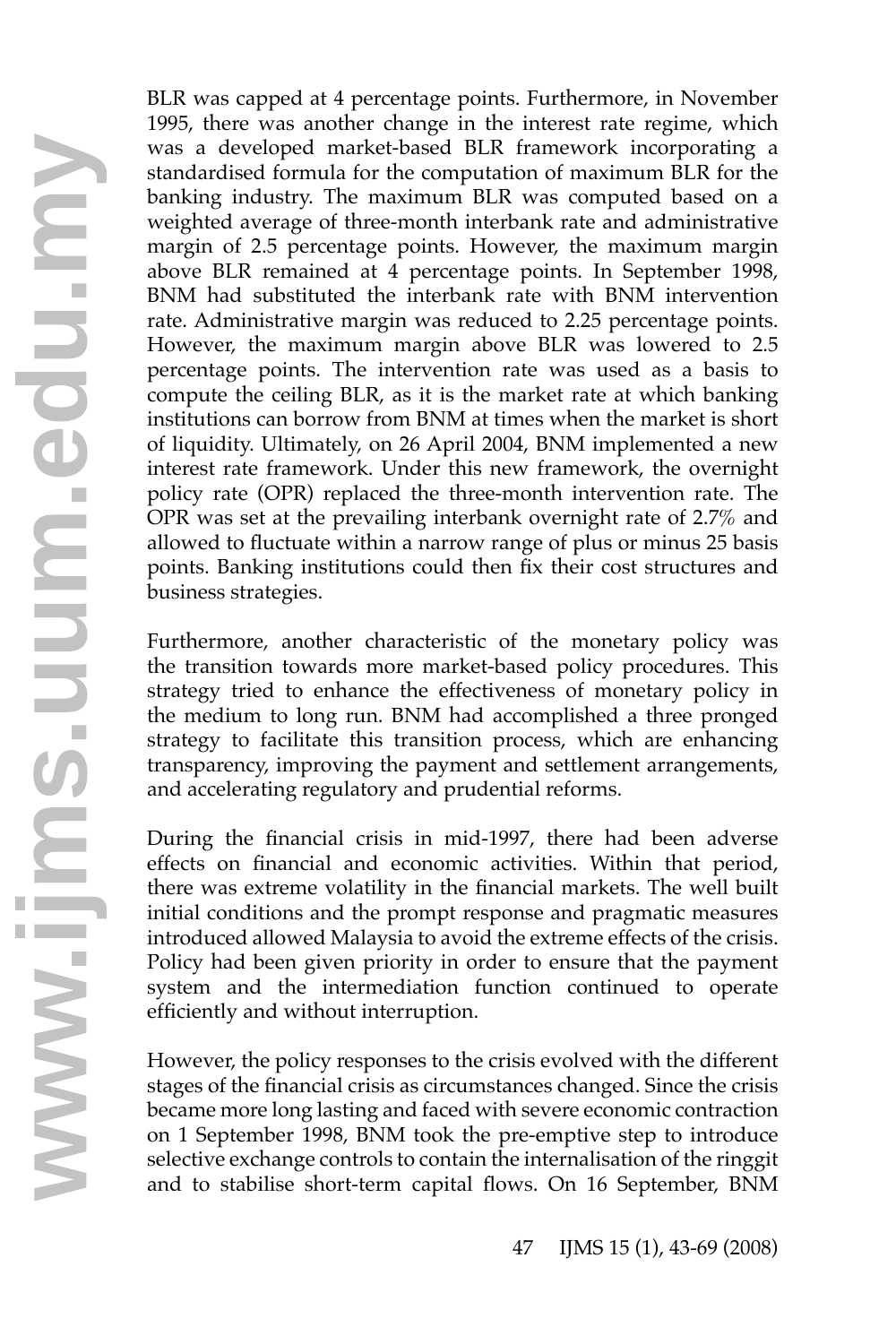BLR was capped at 4 percentage points. Furthermore, in November 1995, there was another change in the interest rate regime, which was a developed market-based BLR framework incorporating a standardised formula for the computation of maximum BLR for the banking industry. The maximum BLR was computed based on a weighted average of three-month interbank rate and administrative margin of 2.5 percentage points. However, the maximum margin above BLR remained at 4 percentage points. In September 1998, BNM had substituted the interbank rate with BNM intervention rate. Administrative margin was reduced to 2.25 percentage points. However, the maximum margin above BLR was lowered to 2.5 percentage points. The intervention rate was used as a basis to compute the ceiling BLR, as it is the market rate at which banking institutions can borrow from BNM at times when the market is short of liquidity. Ultimately, on 26 April 2004, BNM implemented a new interest rate framework. Under this new framework, the overnight policy rate (OPR) replaced the three-month intervention rate. The OPR was set at the prevailing interbank overnight rate of 2.7% and allowed to fluctuate within a narrow range of plus or minus 25 basis points. Banking institutions could then fix their cost structures and business strategies.

Furthermore, another characteristic of the monetary policy was the transition towards more market-based policy procedures. This strategy tried to enhance the effectiveness of monetary policy in the medium to long run. BNM had accomplished a three pronged strategy to facilitate this transition process, which are enhancing transparency, improving the payment and settlement arrangements, and accelerating regulatory and prudential reforms.

During the financial crisis in mid-1997, there had been adverse effects on financial and economic activities. Within that period, there was extreme volatility in the financial markets. The well built initial conditions and the prompt response and pragmatic measures introduced allowed Malaysia to avoid the extreme effects of the crisis. Policy had been given priority in order to ensure that the payment system and the intermediation function continued to operate efficiently and without interruption.

However, the policy responses to the crisis evolved with the different stages of the financial crisis as circumstances changed. Since the crisis became more long lasting and faced with severe economic contraction on 1 September 1998, BNM took the pre-emptive step to introduce selective exchange controls to contain the internalisation of the ringgit However, the policy responses to the crisis evolved with the different stages of the financial crisis as circumstances changed. Since the crisis became more long lasting and faced with severe economic contraction on 1 Sept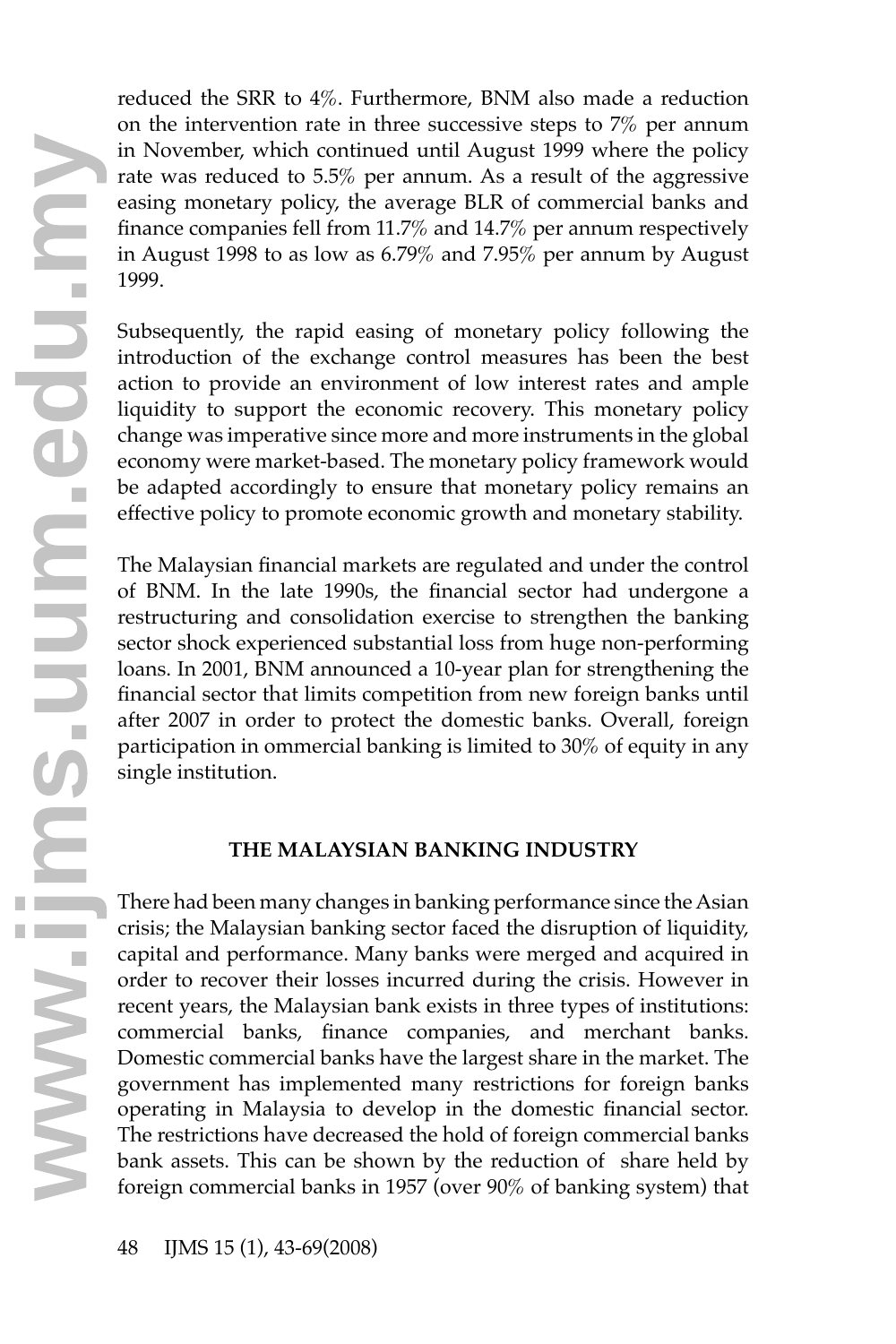reduced the SRR to 4%. Furthermore, BNM also made a reduction on the intervention rate in three successive steps to 7% per annum in November, which continued until August 1999 where the policy rate was reduced to 5.5% per annum. As a result of the aggressive easing monetary policy, the average BLR of commercial banks and finance companies fell from 11.7% and 14.7% per annum respectively in August 1998 to as low as 6.79% and 7.95% per annum by August 1999.

Subsequently, the rapid easing of monetary policy following the introduction of the exchange control measures has been the best action to provide an environment of low interest rates and ample liquidity to support the economic recovery. This monetary policy change was imperative since more and more instruments in the global economy were market-based. The monetary policy framework would be adapted accordingly to ensure that monetary policy remains an effective policy to promote economic growth and monetary stability.

The Malaysian financial markets are regulated and under the control of BNM. In the late 1990s, the financial sector had undergone a restructuring and consolidation exercise to strengthen the banking sector shock experienced substantial loss from huge non-performing loans. In 2001, BNM announced a 10-year plan for strengthening the financial sector that limits competition from new foreign banks until after 2007 in order to protect the domestic banks. Overall, foreign participation in ommercial banking is limited to 30% of equity in any single institution.

# **THE MALAYSIAN BANKING INDUSTRY**

There had been many changes in banking performance since the Asian crisis; the Malaysian banking sector faced the disruption of liquidity, capital and performance. Many banks were merged and acquired in order to recover their losses incurred during the crisis. However in recent years, the Malaysian bank exists in three types of institutions: commercial banks, finance companies, and merchant banks. Domestic commercial banks have the largest share in the market. The government has implemented many restrictions for foreign banks operating in Malaysia to develop in the domestic financial sector. The restrictions have decreased the hold of foreign commercial banks bank assets. This can be shown by the reduction of share held by Domestic commercial banks have the largest share in the market. The government has implemented many restrictions for foreign banks operating in Malaysia to develop in the domestic financial sector. The restrictions have de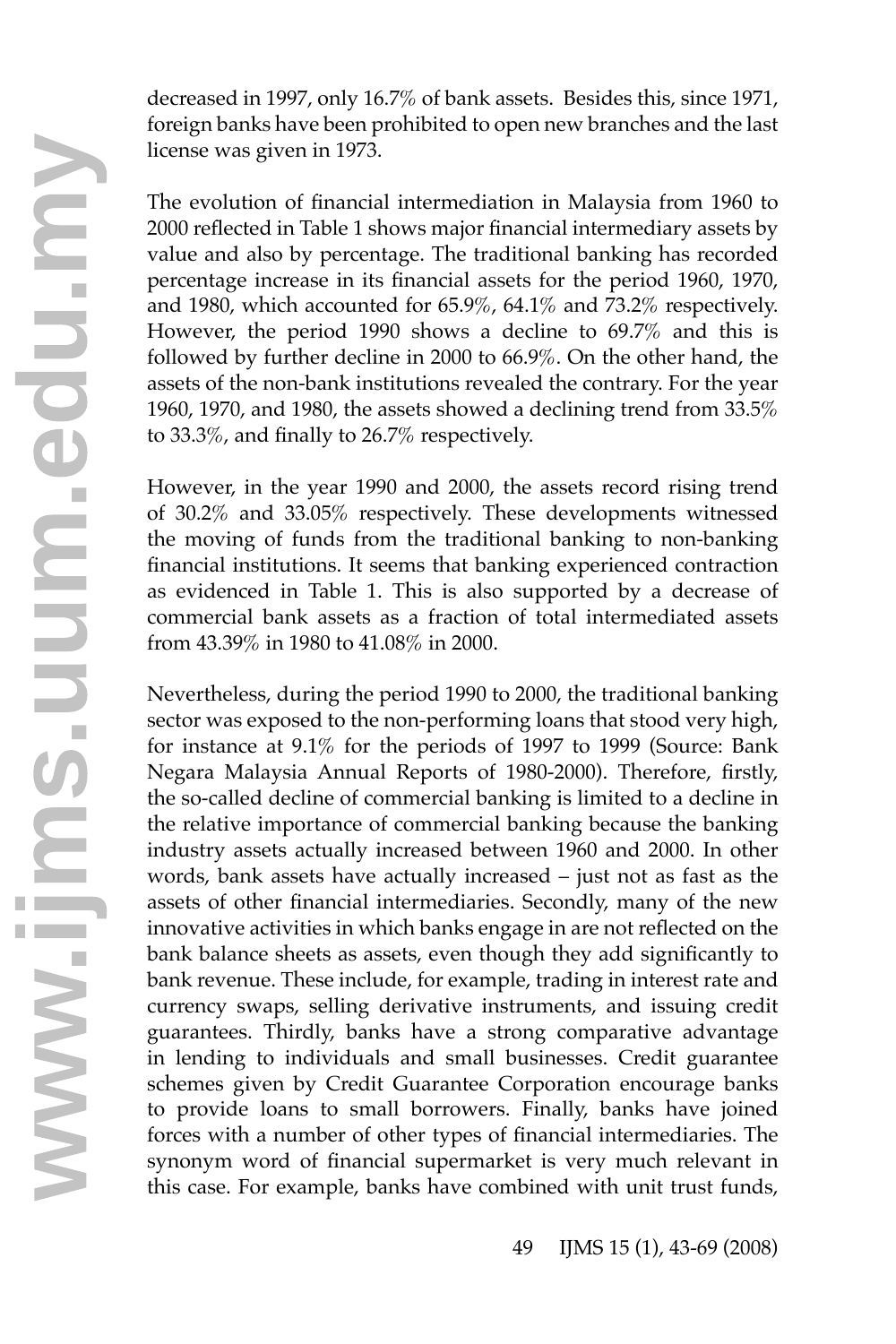decreased in 1997, only 16.7% of bank assets. Besides this, since 1971, foreign banks have been prohibited to open new branches and the last license was given in 1973.

The evolution of financial intermediation in Malaysia from 1960 to 2000 reflected in Table 1 shows major financial intermediary assets by value and also by percentage. The traditional banking has recorded percentage increase in its financial assets for the period 1960, 1970, and 1980, which accounted for 65.9%, 64.1% and 73.2% respectively. However, the period 1990 shows a decline to 69.7% and this is followed by further decline in 2000 to 66.9%. On the other hand, the assets of the non-bank institutions revealed the contrary. For the year 1960, 1970, and 1980, the assets showed a declining trend from 33.5% to 33.3%, and finally to 26.7% respectively.

However, in the year 1990 and 2000, the assets record rising trend of 30.2% and 33.05% respectively. These developments witnessed the moving of funds from the traditional banking to non-banking financial institutions. It seems that banking experienced contraction as evidenced in Table 1. This is also supported by a decrease of commercial bank assets as a fraction of total intermediated assets from 43.39% in 1980 to 41.08% in 2000.

Nevertheless, during the period 1990 to 2000, the traditional banking sector was exposed to the non-performing loans that stood very high, for instance at 9.1% for the periods of 1997 to 1999 (Source: Bank Negara Malaysia Annual Reports of 1980-2000). Therefore, firstly, the so-called decline of commercial banking is limited to a decline in the relative importance of commercial banking because the banking industry assets actually increased between 1960 and 2000. In other words, bank assets have actually increased – just not as fast as the assets of other financial intermediaries. Secondly, many of the new innovative activities in which banks engage in are not reflected on the bank balance sheets as assets, even though they add significantly to bank revenue. These include, for example, trading in interest rate and currency swaps, selling derivative instruments, and issuing credit guarantees. Thirdly, banks have a strong comparative advantage in lending to individuals and small businesses. Credit guarantee schemes given by Credit Guarantee Corporation encourage banks to provide loans to small borrowers. Finally, banks have joined forces with a number of other types of financial intermediaries. The synonym word of financial supermarket is very much relevant in in lending to individuals and small businesses. Credit guarantee schemes given by Credit Guarantee Corporation encourage banks to provide loans to small borrowers. Finally, banks have joined forces with a number of other t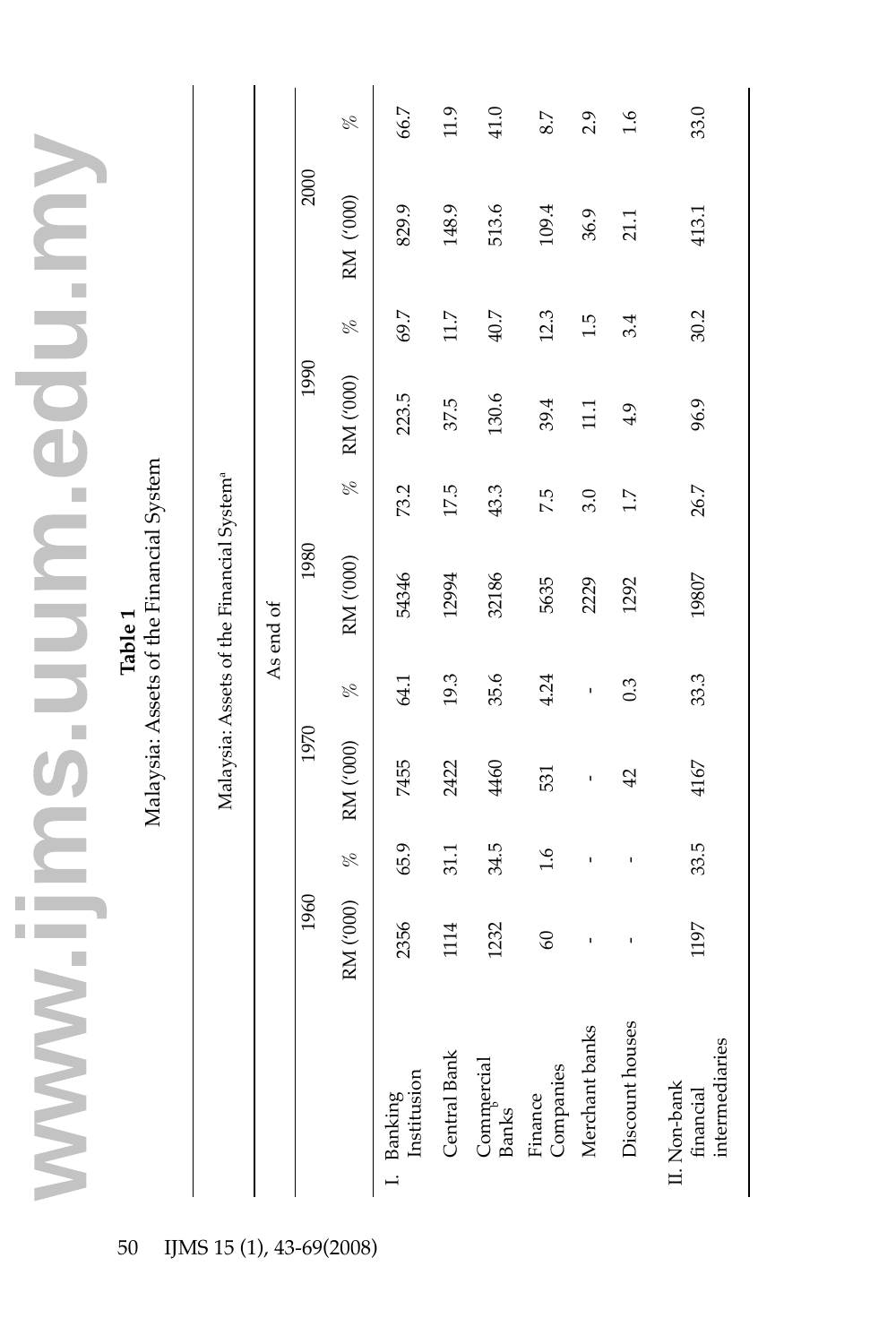|                                                                |                                                       |           |      | R         | 66.7                                                                                           | 11.9         | 41.0                | 8.7                  | 2.9             | $\frac{6}{1}$   | 33.0                                        |
|----------------------------------------------------------------|-------------------------------------------------------|-----------|------|-----------|------------------------------------------------------------------------------------------------|--------------|---------------------|----------------------|-----------------|-----------------|---------------------------------------------|
|                                                                |                                                       |           | 2000 | RM ('000) | 829.9                                                                                          | 148.9        | 513.6               | 109.4                | 36.9            | 21.1            | 413.1                                       |
|                                                                |                                                       |           |      | olo       | 69.7                                                                                           | 11.7         | 40.7                | 12.3                 | 1.5             | 3.4             | 30.2                                        |
|                                                                |                                                       |           | 1990 | RM ('000) | 223.5                                                                                          | 37.5         | 130.6               | 39.4                 | $\overline{11}$ | 4.9             | 96.9                                        |
|                                                                |                                                       |           |      | olo       | 73.2                                                                                           | 17.5         | 43.3                | 7.5                  | 3.0             | 1.7             | 26.7                                        |
| Malaysia: Assets of the Financial System<br>Table <sub>1</sub> | Malaysia: Assets of the Financial System <sup>a</sup> | As end of | 1980 | RM ('000) | 54346                                                                                          | 12994        | 32186               | 5635                 | 2229            | 1292            | 19807                                       |
|                                                                |                                                       |           |      | olo       | 64.1                                                                                           | 19.3         | 35.6                | 4.24                 | ı               | 0.3             | 33.3                                        |
|                                                                |                                                       |           | 1970 | RM ('000) | 7455                                                                                           | 2422         | 4460                | 531                  | ı               | 42              | 4167                                        |
|                                                                |                                                       |           |      | olo       | 65.9                                                                                           | 31.1         | 34.5                | 1.6                  | ı               | ı               | 33.5                                        |
|                                                                |                                                       |           | 1960 | RM ('000) | 2356                                                                                           | 1114         | 1232                | $\boldsymbol{60}$    | ı               | ı               | 1197                                        |
|                                                                |                                                       |           |      |           | $\begin{tabular}{ll} \textbf{I.} \quad \textbf{Banking} \\ \textbf{Institution} \end{tabular}$ | Central Bank | Commercial<br>Banks | Finance<br>Companies | Merchant banks  | Discount houses | intermediaries<br>II. Non-bank<br>financial |
| 50                                                             | IJMS 15 (1), 43-69(2008)                              |           |      |           |                                                                                                |              |                     |                      |                 |                 |                                             |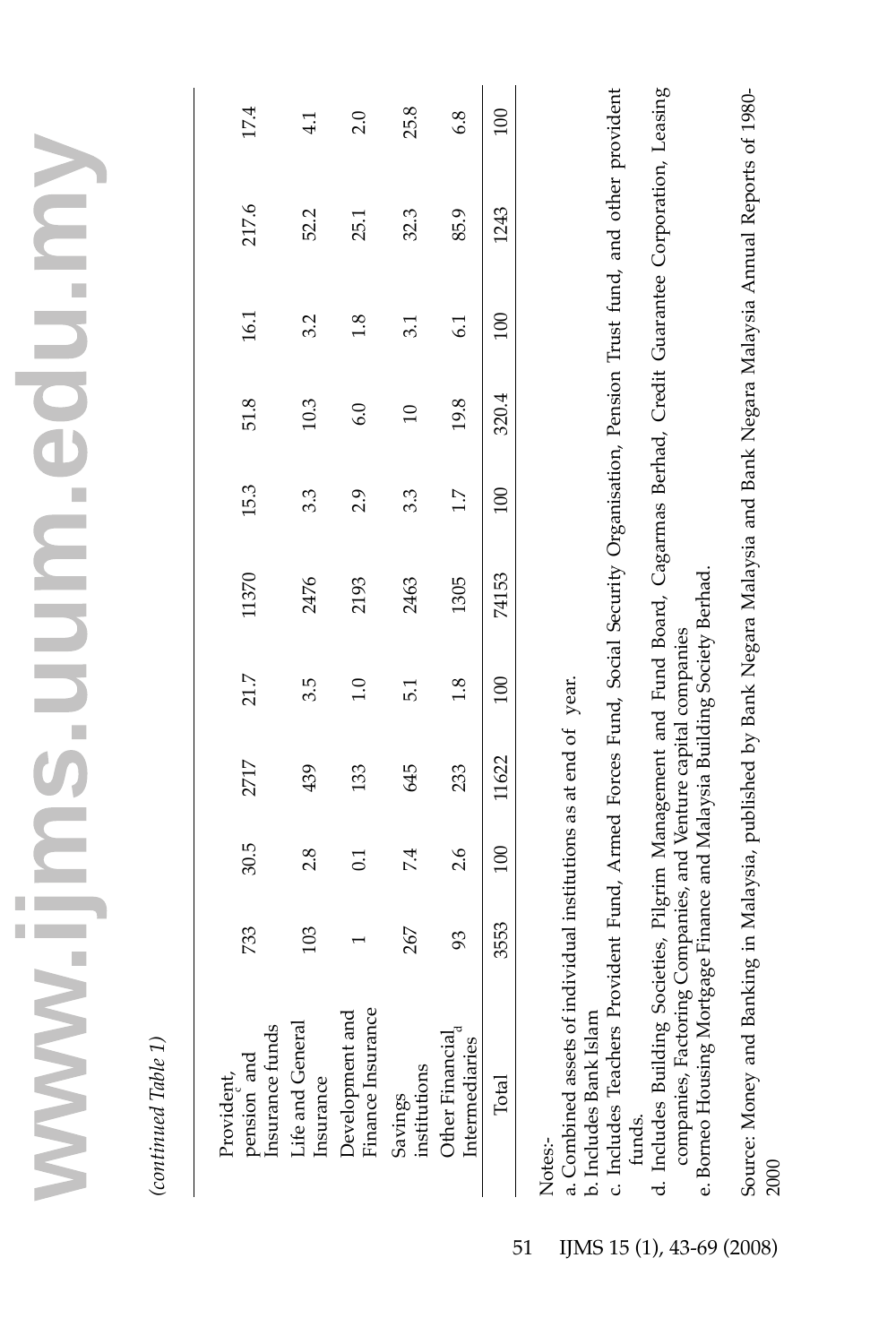| 17.4                                         | $\frac{1}{4}$                 | 2.0                                  | 25.8                    | 6.8                               |                 |         |
|----------------------------------------------|-------------------------------|--------------------------------------|-------------------------|-----------------------------------|-----------------|---------|
| 217.6                                        | 52.2                          | 25.1                                 | 32.3                    | 85.9                              | 1243            |         |
| 16.1                                         | 3.2                           | 1.8                                  | 3.1                     | $\overline{61}$                   | $_{\rm 50}$     |         |
| 51.8                                         | 10.3                          | 6.0                                  | $\overline{10}$         | 19.8                              | 320.4           |         |
| 15.3                                         | 3.3                           | 2.9                                  | 3.3                     | $\frac{7}{1}$                     | $\overline{00}$ |         |
| 11370                                        | 2476                          | 2193                                 | 2463                    | 1305                              | 74153           |         |
| 21.7                                         | 3.5                           | $\frac{0}{1}$                        | 5.1                     | 1.8                               |                 |         |
| 2717                                         | 439                           | 133                                  | 645                     | 233                               | 1622            |         |
| 30.5                                         | 2.8                           | $\Xi$                                | 74                      | 2.6                               | $\overline{00}$ |         |
| 733                                          | 103                           |                                      | 267                     | 93                                | 3553            |         |
| Provident,<br>pension and<br>Insurance funds | Life and General<br>Insurance | Finance Insurance<br>Development and | Savings<br>institutions | Other Financial<br>Intermediaries | Total           | Notes:- |

a. Combined assets of individual institutions as at end of year. a. Combined assets of individual institutions as at end of year.

b. Includes Bank Islam b. Includes Bank Islam

c. Includes Teachers Provident Fund, Armed Forces Fund, Social Security Organisation, Pension Trust fund, and other provident c. Includes Teachers Provident Fund, Armed Forces Fund, Social Security Organisation, Pension Trust fund, and other provident funds.

d. Includes Building Societies, Pilgrim Management and Fund Board, Cagarmas Berhad, Credit Guarantee Corporation, Leasing d. Includes Building Societies, Pilgrim Management and Fund Board, Cagarmas Berhad, Credit Guarantee Corporation, Leasing companies, Factoring Companies, and Venture capital companies companies, Factoring Companies, and Venture capital companies

e. Borneo Housing Mortgage Finance and Malaysia Building Society Berhad. e. Borneo Housing Mortgage Finance and Malaysia Building Society Berhad. Source: Money and Banking in Malaysia, published by Bank Negara Malaysia and Bank Negara Malaysia Annual Reports of 1980-Source: Money and Banking in Malaysia, published by Bank Negara Malaysia and Bank Negara Malaysia Annual Reports of 1980- 2000

(continued Table 1) *(continued Table 1)*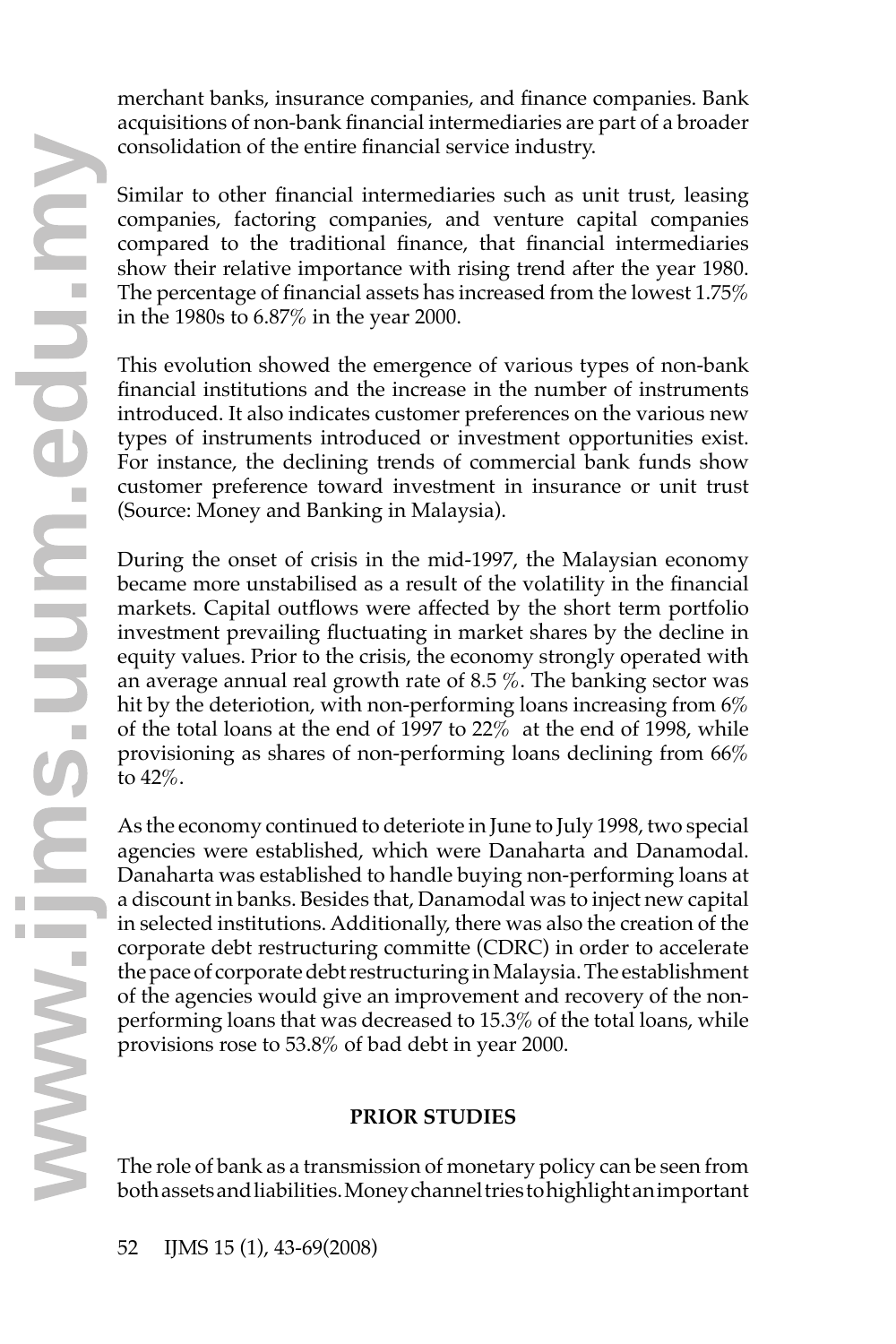merchant banks, insurance companies, and finance companies. Bank acquisitions of non-bank financial intermediaries are part of a broader consolidation of the entire financial service industry.

Similar to other financial intermediaries such as unit trust, leasing companies, factoring companies, and venture capital companies compared to the traditional finance, that financial intermediaries show their relative importance with rising trend after the year 1980. The percentage of financial assets has increased from the lowest 1.75% in the 1980s to 6.87% in the year 2000.

This evolution showed the emergence of various types of non-bank financial institutions and the increase in the number of instruments introduced. It also indicates customer preferences on the various new types of instruments introduced or investment opportunities exist. For instance, the declining trends of commercial bank funds show customer preference toward investment in insurance or unit trust (Source: Money and Banking in Malaysia).

During the onset of crisis in the mid-1997, the Malaysian economy became more unstabilised as a result of the volatility in the financial markets. Capital outflows were affected by the short term portfolio investment prevailing fluctuating in market shares by the decline in equity values. Prior to the crisis, the economy strongly operated with an average annual real growth rate of 8.5 %. The banking sector was hit by the deteriotion, with non-performing loans increasing from  $6\%$ of the total loans at the end of 1997 to 22% at the end of 1998, while provisioning as shares of non-performing loans declining from 66% to 42%.

As the economy continued to deteriote in June to July 1998, two special agencies were established, which were Danaharta and Danamodal. Danaharta was established to handle buying non-performing loans at a discount in banks. Besides that, Danamodal was to inject new capital in selected institutions. Additionally, there was also the creation of the corporate debt restructuring committe (CDRC) in order to accelerate the pace of corporate debt restructuring in Malaysia. The establishment of the agencies would give an improvement and recovery of the nonperforming loans that was decreased to 15.3% of the total loans, while provisions rose to 53.8% of bad debt in year 2000.

# **PRIOR STUDIES**

The role of bank as a transmission of monetary policy can be seen from both assets and liabilities. Money channel tries to highlight an important **<sup>w</sup>**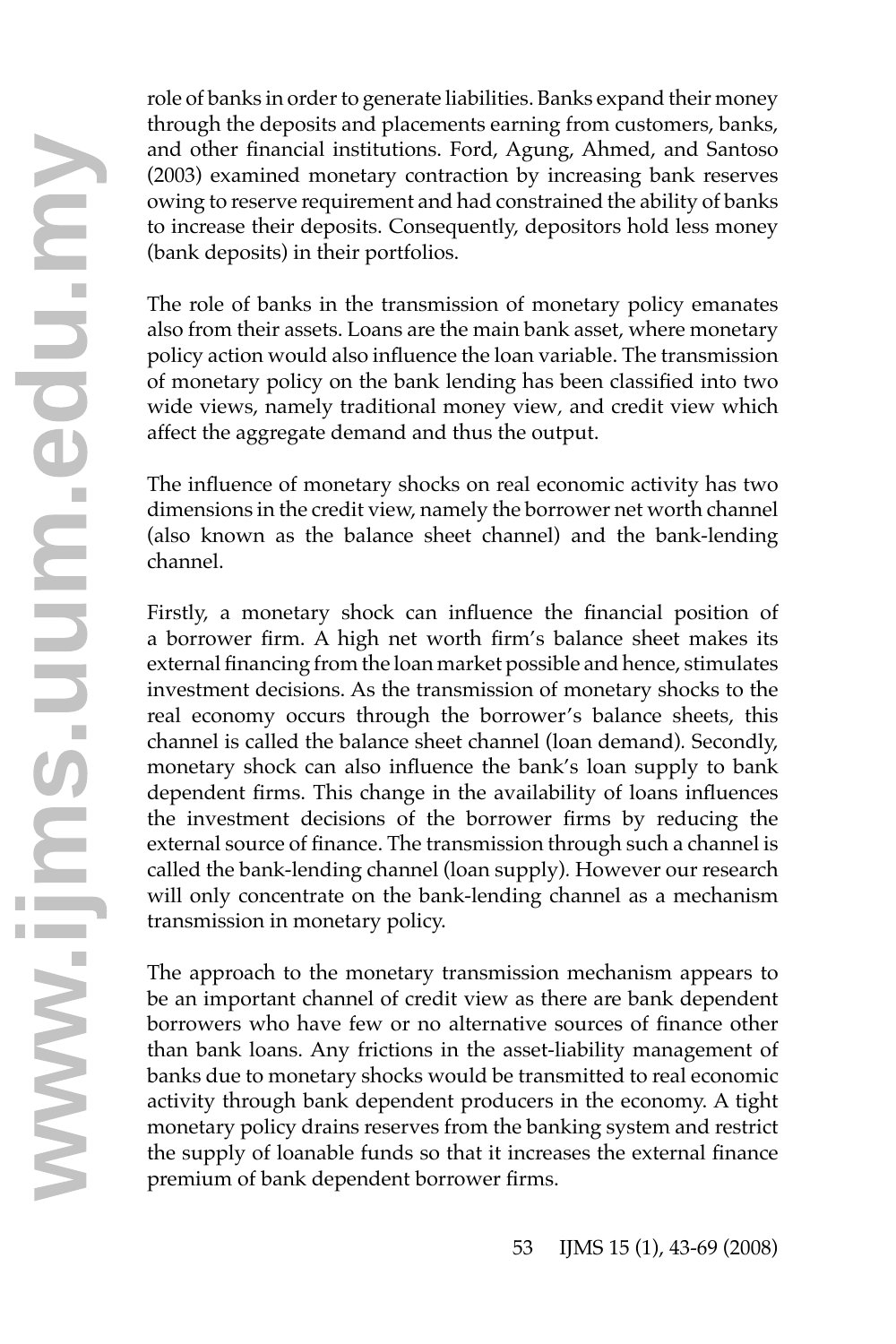role of banks in order to generate liabilities. Banks expand their money through the deposits and placements earning from customers, banks, and other financial institutions. Ford, Agung, Ahmed, and Santoso (2003) examined monetary contraction by increasing bank reserves owing to reserve requirement and had constrained the ability of banks to increase their deposits. Consequently, depositors hold less money (bank deposits) in their portfolios.

The role of banks in the transmission of monetary policy emanates also from their assets. Loans are the main bank asset, where monetary policy action would also influence the loan variable. The transmission of monetary policy on the bank lending has been classified into two wide views, namely traditional money view*,* and credit view which affect the aggregate demand and thus the output.

The influence of monetary shocks on real economic activity has two dimensions in the credit view, namely the borrower net worth channel (also known as the balance sheet channel) and the bank-lending channel.

Firstly, a monetary shock can influence the financial position of a borrower firm. A high net worth firm's balance sheet makes its external financing from the loan market possible and hence, stimulates investment decisions. As the transmission of monetary shocks to the real economy occurs through the borrower's balance sheets, this channel is called the balance sheet channel (loan demand)*.* Secondly, monetary shock can also influence the bank's loan supply to bank dependent firms. This change in the availability of loans influences the investment decisions of the borrower firms by reducing the external source of finance. The transmission through such a channel is called the bank-lending channel (loan supply)*.* However our research will only concentrate on the bank-lending channel as a mechanism transmission in monetary policy.

The approach to the monetary transmission mechanism appears to be an important channel of credit view as there are bank dependent borrowers who have few or no alternative sources of finance other than bank loans. Any frictions in the asset-liability management of banks due to monetary shocks would be transmitted to real economic activity through bank dependent producers in the economy. A tight monetary policy drains reserves from the banking system and restrict the supply of loanable funds so that it increases the external finance than bank loans. Any frictions in the asset-<br>banks due to monetary shocks would be trans<br>activity through bank dependent producers<br>monetary policy drains reserves from the ban<br>the supply of loanable funds so that it increa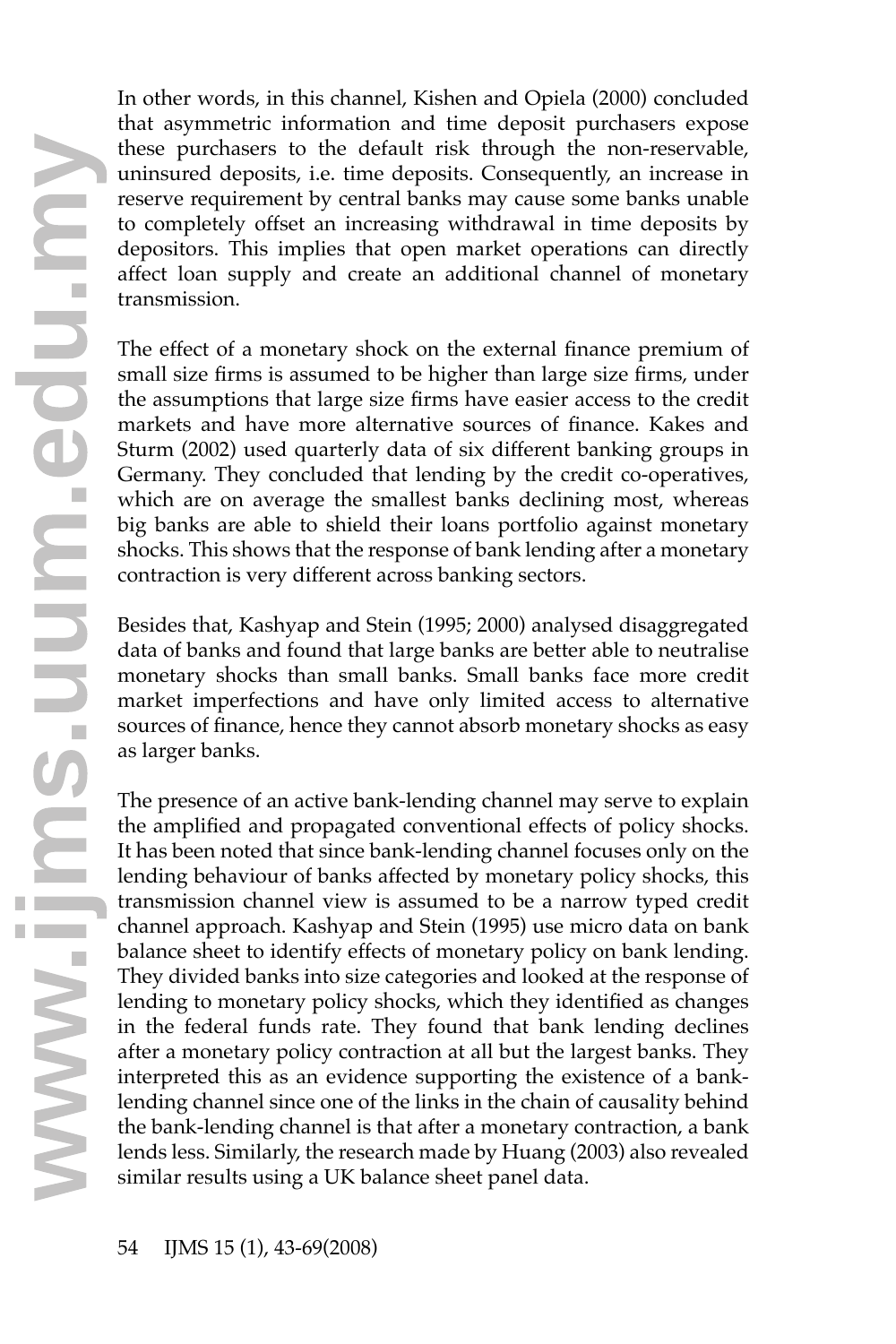In other words, in this channel, Kishen and Opiela (2000) concluded that asymmetric information and time deposit purchasers expose these purchasers to the default risk through the non-reservable, uninsured deposits, i.e. time deposits. Consequently, an increase in reserve requirement by central banks may cause some banks unable to completely offset an increasing withdrawal in time deposits by depositors. This implies that open market operations can directly affect loan supply and create an additional channel of monetary transmission.

The effect of a monetary shock on the external finance premium of small size firms is assumed to be higher than large size firms, under the assumptions that large size firms have easier access to the credit markets and have more alternative sources of finance. Kakes and Sturm (2002) used quarterly data of six different banking groups in Germany. They concluded that lending by the credit co-operatives, which are on average the smallest banks declining most, whereas big banks are able to shield their loans portfolio against monetary shocks. This shows that the response of bank lending after a monetary contraction is very different across banking sectors.

Besides that, Kashyap and Stein (1995; 2000) analysed disaggregated data of banks and found that large banks are better able to neutralise monetary shocks than small banks. Small banks face more credit market imperfections and have only limited access to alternative sources of finance, hence they cannot absorb monetary shocks as easy as larger banks.

The presence of an active bank-lending channel may serve to explain the amplified and propagated conventional effects of policy shocks. It has been noted that since bank-lending channel focuses only on the lending behaviour of banks affected by monetary policy shocks, this transmission channel view is assumed to be a narrow typed credit channel approach. Kashyap and Stein (1995) use micro data on bank balance sheet to identify effects of monetary policy on bank lending. They divided banks into size categories and looked at the response of lending to monetary policy shocks, which they identified as changes in the federal funds rate. They found that bank lending declines after a monetary policy contraction at all but the largest banks. They interpreted this as an evidence supporting the existence of a banklending channel since one of the links in the chain of causality behind the bank-lending channel is that after a monetary contraction, a bank lends less. Similarly, the research made by Huang (2003) also revealed after a monetary policy contraction at all but the last<br>interpreted this as an evidence supporting the exilending channel since one of the links in the chain of<br>the bank-lending channel is that after a monetary co<br>lends le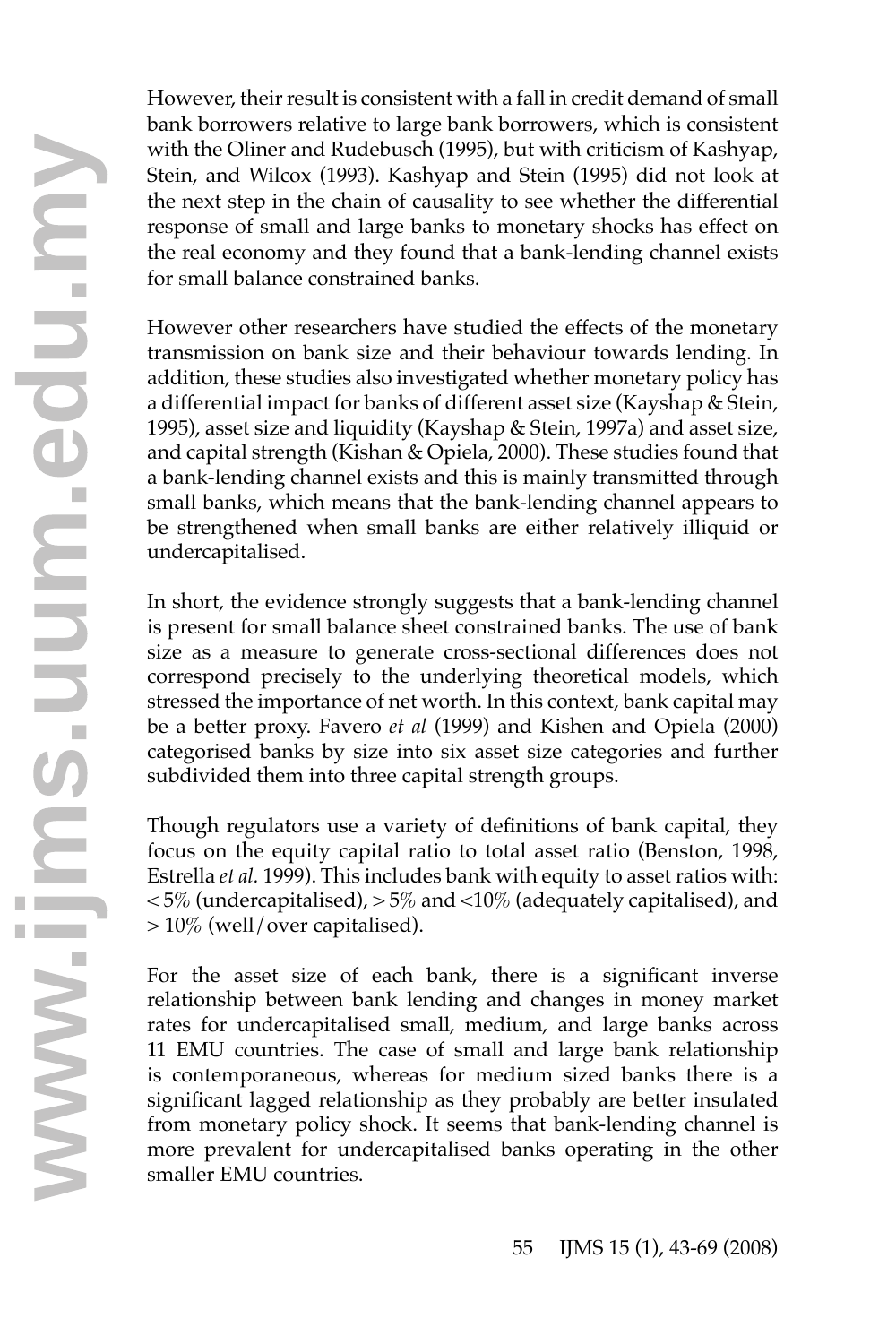However, their result is consistent with a fall in credit demand of small bank borrowers relative to large bank borrowers, which is consistent with the Oliner and Rudebusch (1995), but with criticism of Kashyap, Stein, and Wilcox (1993). Kashyap and Stein (1995) did not look at the next step in the chain of causality to see whether the differential response of small and large banks to monetary shocks has effect on the real economy and they found that a bank-lending channel exists for small balance constrained banks.

However other researchers have studied the effects of the monetary transmission on bank size and their behaviour towards lending. In addition, these studies also investigated whether monetary policy has a differential impact for banks of different asset size (Kayshap & Stein, 1995), asset size and liquidity (Kayshap & Stein, 1997a) and asset size, and capital strength (Kishan & Opiela, 2000). These studies found that a bank-lending channel exists and this is mainly transmitted through small banks, which means that the bank-lending channel appears to be strengthened when small banks are either relatively illiquid or undercapitalised.

In short, the evidence strongly suggests that a bank-lending channel is present for small balance sheet constrained banks. The use of bank size as a measure to generate cross-sectional differences does not correspond precisely to the underlying theoretical models, which stressed the importance of net worth. In this context, bank capital may be a better proxy. Favero *et al* (1999) and Kishen and Opiela (2000) categorised banks by size into six asset size categories and further subdivided them into three capital strength groups.

Though regulators use a variety of definitions of bank capital, they focus on the equity capital ratio to total asset ratio (Benston, 1998, Estrella *et al.* 1999). This includes bank with equity to asset ratios with:  $<$  5% (undercapitalised),  $>$  5% and  $<$  10% (adequately capitalised), and > 10% (well/over capitalised).

For the asset size of each bank, there is a significant inverse relationship between bank lending and changes in money market rates for undercapitalised small, medium, and large banks across 11 EMU countries. The case of small and large bank relationship is contemporaneous, whereas for medium sized banks there is a significant lagged relationship as they probably are better insulated from monetary policy shock. It seems that bank-lending channel is more prevalent for undercapitalised banks operating in the other smaller EMI countries IT EMU countries. The<br>is contemporaneous, w<br>significant lagged relation<br>from monetary policy s<br>more prevalent for unc<br>smaller EMU countries.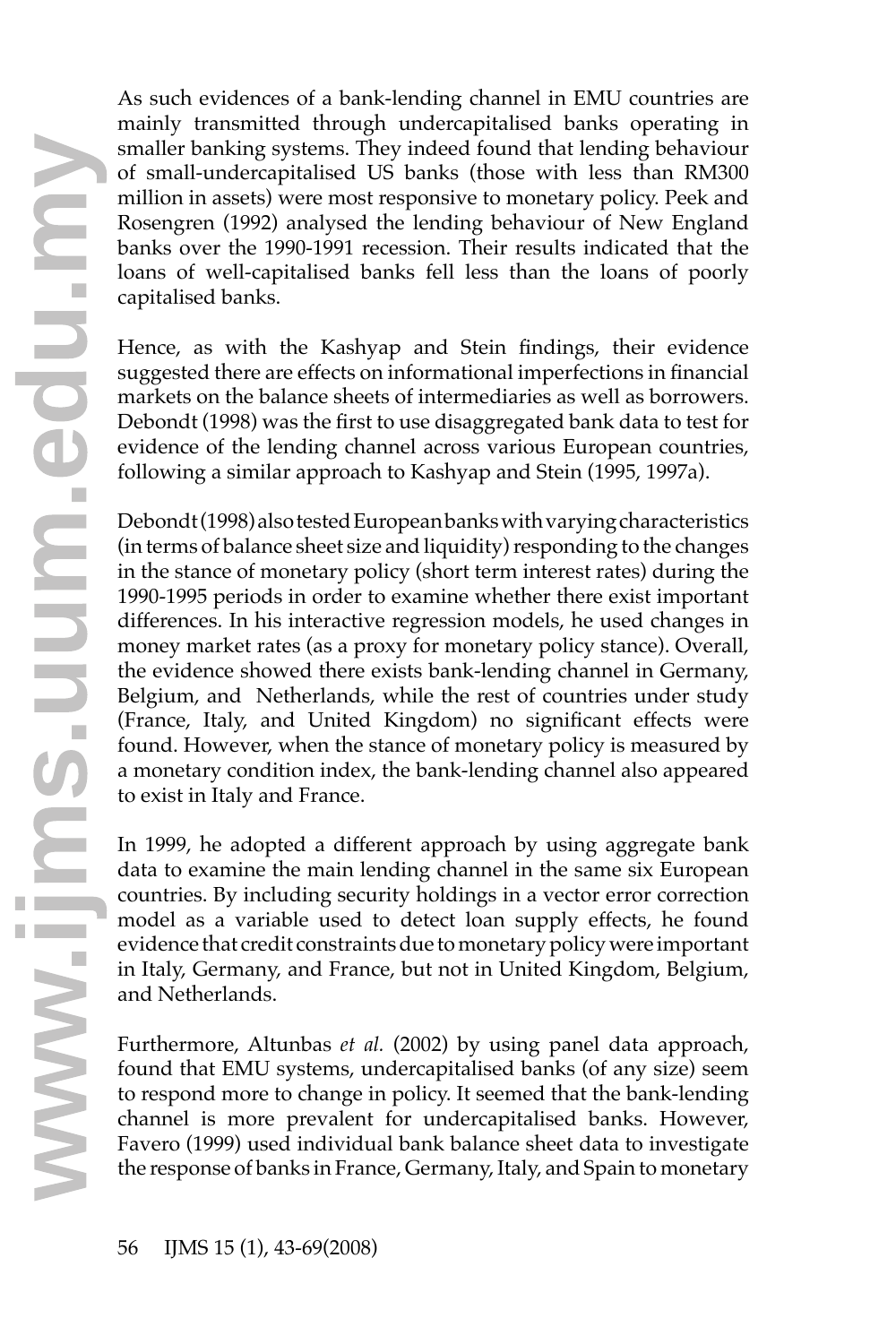As such evidences of a bank-lending channel in EMU countries are mainly transmitted through undercapitalised banks operating in smaller banking systems. They indeed found that lending behaviour of small-undercapitalised US banks (those with less than RM300 million in assets) were most responsive to monetary policy. Peek and Rosengren (1992) analysed the lending behaviour of New England banks over the 1990-1991 recession. Their results indicated that the loans of well-capitalised banks fell less than the loans of poorly capitalised banks.

Hence, as with the Kashyap and Stein findings, their evidence suggested there are effects on informational imperfections in financial markets on the balance sheets of intermediaries as well as borrowers. Debondt (1998) was the first to use disaggregated bank data to test for evidence of the lending channel across various European countries, following a similar approach to Kashyap and Stein (1995, 1997a).

Debondt (1998) also tested European banks with varying characteristics (in terms of balance sheet size and liquidity) responding to the changes in the stance of monetary policy (short term interest rates) during the 1990-1995 periods in order to examine whether there exist important differences. In his interactive regression models, he used changes in money market rates (as a proxy for monetary policy stance). Overall, the evidence showed there exists bank-lending channel in Germany, Belgium, and Netherlands, while the rest of countries under study (France, Italy, and United Kingdom) no significant effects were found. However, when the stance of monetary policy is measured by a monetary condition index, the bank-lending channel also appeared to exist in Italy and France.

In 1999, he adopted a different approach by using aggregate bank data to examine the main lending channel in the same six European countries. By including security holdings in a vector error correction model as a variable used to detect loan supply effects, he found evidence that credit constraints due to monetary policy were important in Italy, Germany, and France, but not in United Kingdom, Belgium, and Netherlands.

Furthermore, Altunbas *et al.* (2002) by using panel data approach, found that EMU systems, undercapitalised banks (of any size) seem to respond more to change in policy. It seemed that the bank-lending channel is more prevalent for undercapitalised banks. However, Favero (1999) used individual bank balance sheet data to investigate the response of banks in France, Germany, Italy, and Spain to monetary **<sup>w</sup>**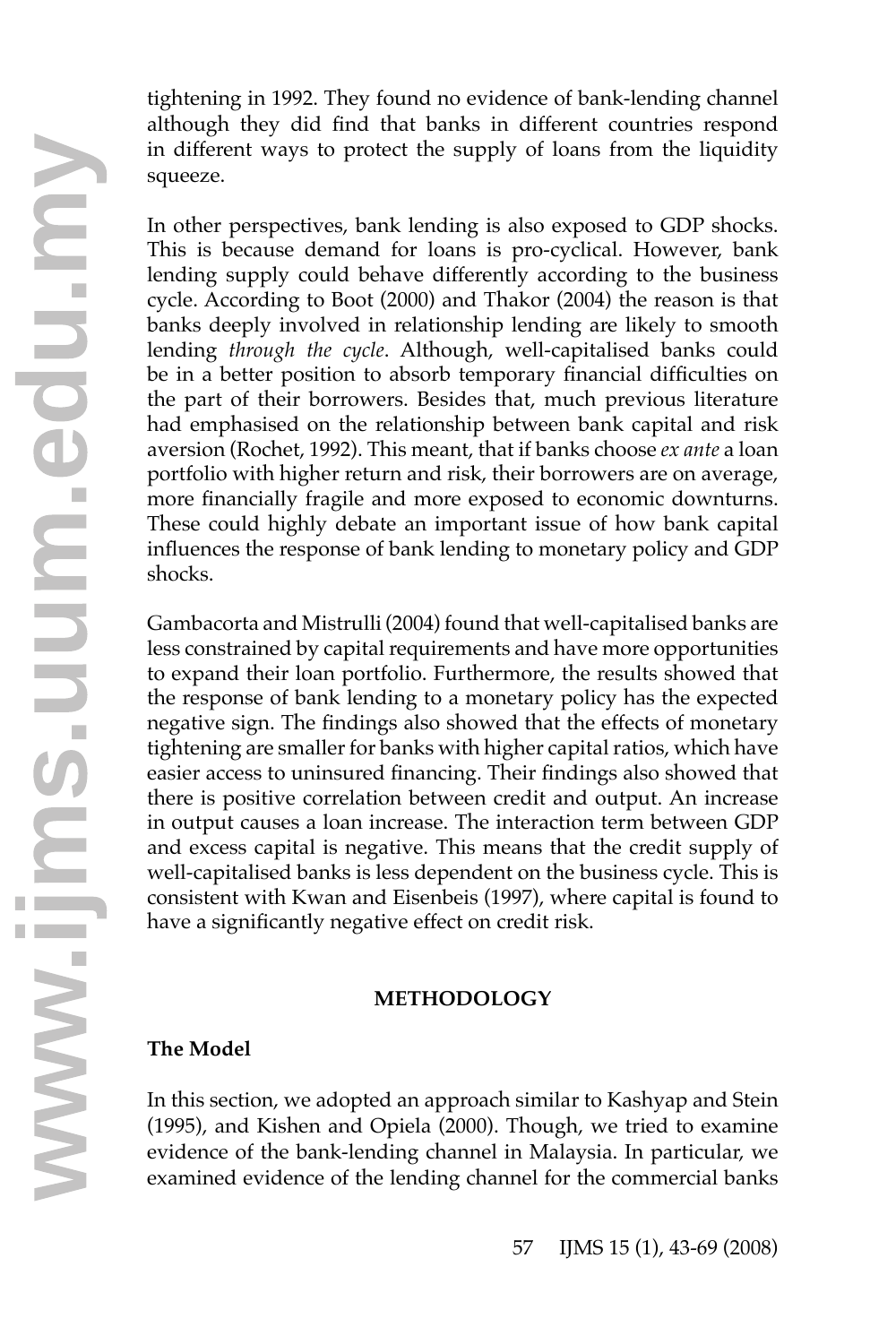tightening in 1992. They found no evidence of bank-lending channel although they did find that banks in different countries respond in different ways to protect the supply of loans from the liquidity squeeze.

In other perspectives, bank lending is also exposed to GDP shocks. This is because demand for loans is pro-cyclical. However, bank lending supply could behave differently according to the business cycle. According to Boot (2000) and Thakor (2004) the reason is that banks deeply involved in relationship lending are likely to smooth lending *through the cycle*. Although, well-capitalised banks could be in a better position to absorb temporary financial difficulties on the part of their borrowers. Besides that, much previous literature had emphasised on the relationship between bank capital and risk aversion (Rochet, 1992). This meant, that if banks choose *ex ante* a loan portfolio with higher return and risk, their borrowers are on average, more financially fragile and more exposed to economic downturns. These could highly debate an important issue of how bank capital influences the response of bank lending to monetary policy and GDP shocks.

Gambacorta and Mistrulli (2004) found that well-capitalised banks are less constrained by capital requirements and have more opportunities to expand their loan portfolio. Furthermore, the results showed that the response of bank lending to a monetary policy has the expected negative sign. The findings also showed that the effects of monetary tightening are smaller for banks with higher capital ratios, which have easier access to uninsured financing. Their findings also showed that there is positive correlation between credit and output. An increase in output causes a loan increase. The interaction term between GDP and excess capital is negative. This means that the credit supply of well-capitalised banks is less dependent on the business cycle. This is consistent with Kwan and Eisenbeis (1997), where capital is found to have a significantly negative effect on credit risk.

### **METHODOLOGY**

# **The Model**

In this section, we adopted an approach similar to Kashyap and Stein (1995), and Kishen and Opiela (2000). Though, we tried to examine evidence of the bank-lending channel in Malaysia. In particular, we In this section, we adopted an approach similar to Kashyap and Stein (1995), and Kishen and Opiela (2000). Though, we tried to examine evidence of the bank-lending channel in Malaysia. In particular, we examined evidence o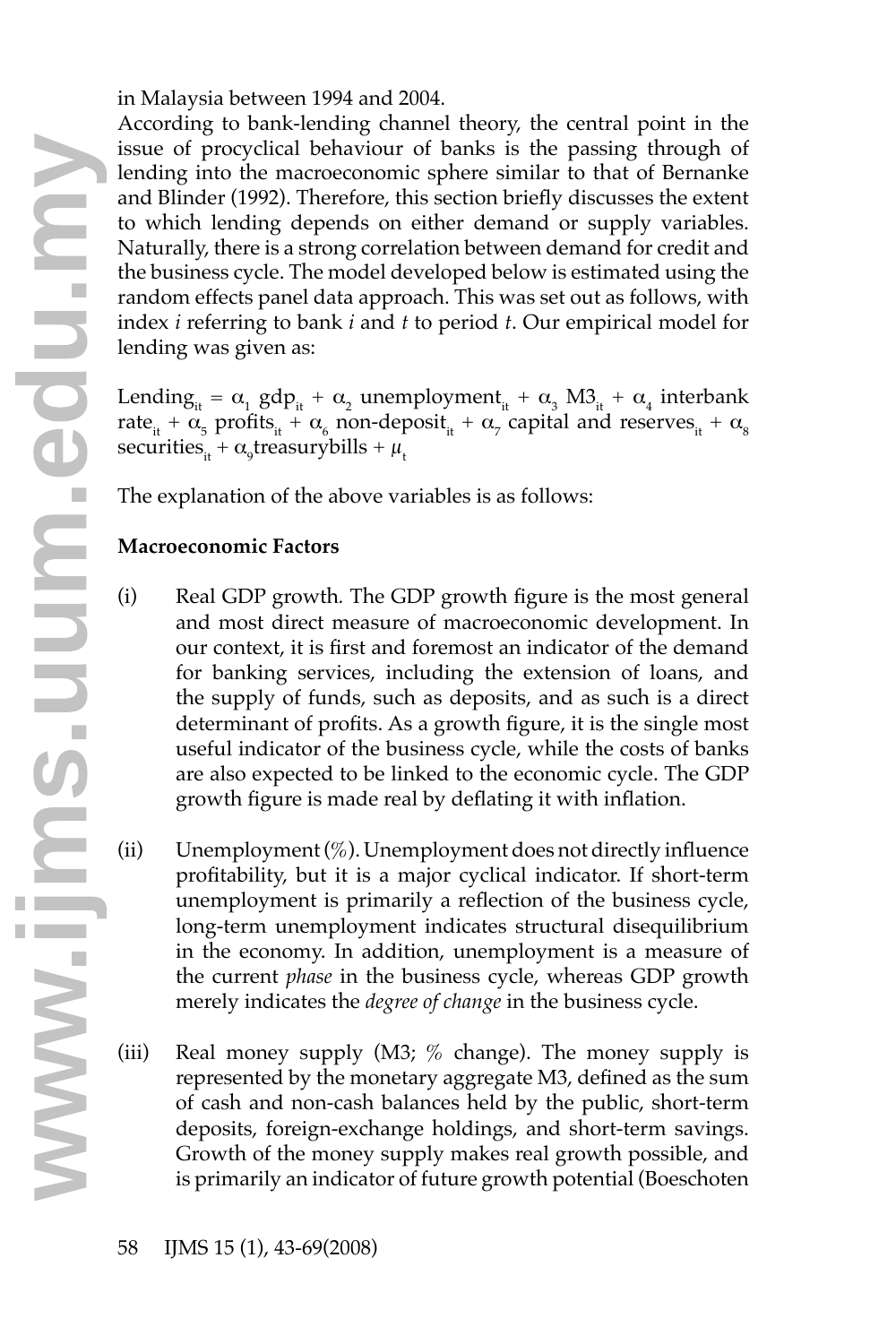in Malaysia between 1994 and 2004.

According to bank-lending channel theory, the central point in the issue of procyclical behaviour of banks is the passing through of lending into the macroeconomic sphere similar to that of Bernanke and Blinder (1992). Therefore, this section briefly discusses the extent to which lending depends on either demand or supply variables. Naturally, there is a strong correlation between demand for credit and the business cycle. The model developed below is estimated using the random effects panel data approach. This was set out as follows, with index *i* referring to bank *i* and *t* to period *t*. Our empirical model for lending was given as:

Lending<sub>it</sub> =  $\alpha_1$  gdp<sub>it</sub> +  $\alpha_2$  unemployment<sub>it</sub> +  $\alpha_3$  M3<sub>it</sub> +  $\alpha_4$  interbank rate<sub>it</sub> +  $\alpha_5$  profits<sub>it</sub> +  $\alpha_6$  non-deposit<sub>it</sub> +  $\alpha_7$  capital and reserves<sub>it</sub> +  $\alpha_8$ securities $_{it} + \alpha_{9}$ treasurybills +  $\mu_{t}$ 

The explanation of the above variables is as follows:

# **Macroeconomic Factors**

- (i) Real GDP growth*.* The GDP growth figure is the most general and most direct measure of macroeconomic development. In our context, it is first and foremost an indicator of the demand for banking services, including the extension of loans, and the supply of funds, such as deposits, and as such is a direct determinant of profits. As a growth figure, it is the single most useful indicator of the business cycle, while the costs of banks are also expected to be linked to the economic cycle. The GDP growth figure is made real by deflating it with inflation.
- (ii) Unemployment  $(\%)$ . Unemployment does not directly influence profitability, but it is a major cyclical indicator. If short-term unemployment is primarily a reflection of the business cycle, long-term unemployment indicates structural disequilibrium in the economy. In addition, unemployment is a measure of the current *phase* in the business cycle, whereas GDP growth merely indicates the *degree of change* in the business cycle.
- (iii) Real money supply (M3; % change). The money supply is represented by the monetary aggregate M3, defined as the sum of cash and non-cash balances held by the public, short-term deposits, foreign-exchange holdings, and short-term savings. Growth of the money supply makes real growth possible, and iii) Real money supply (M3; % change). The money supply is represented by the monetary aggregate M3, defined as the sum of cash and non-cash balances held by the public, short-term deposits, foreign-exchange holdings, and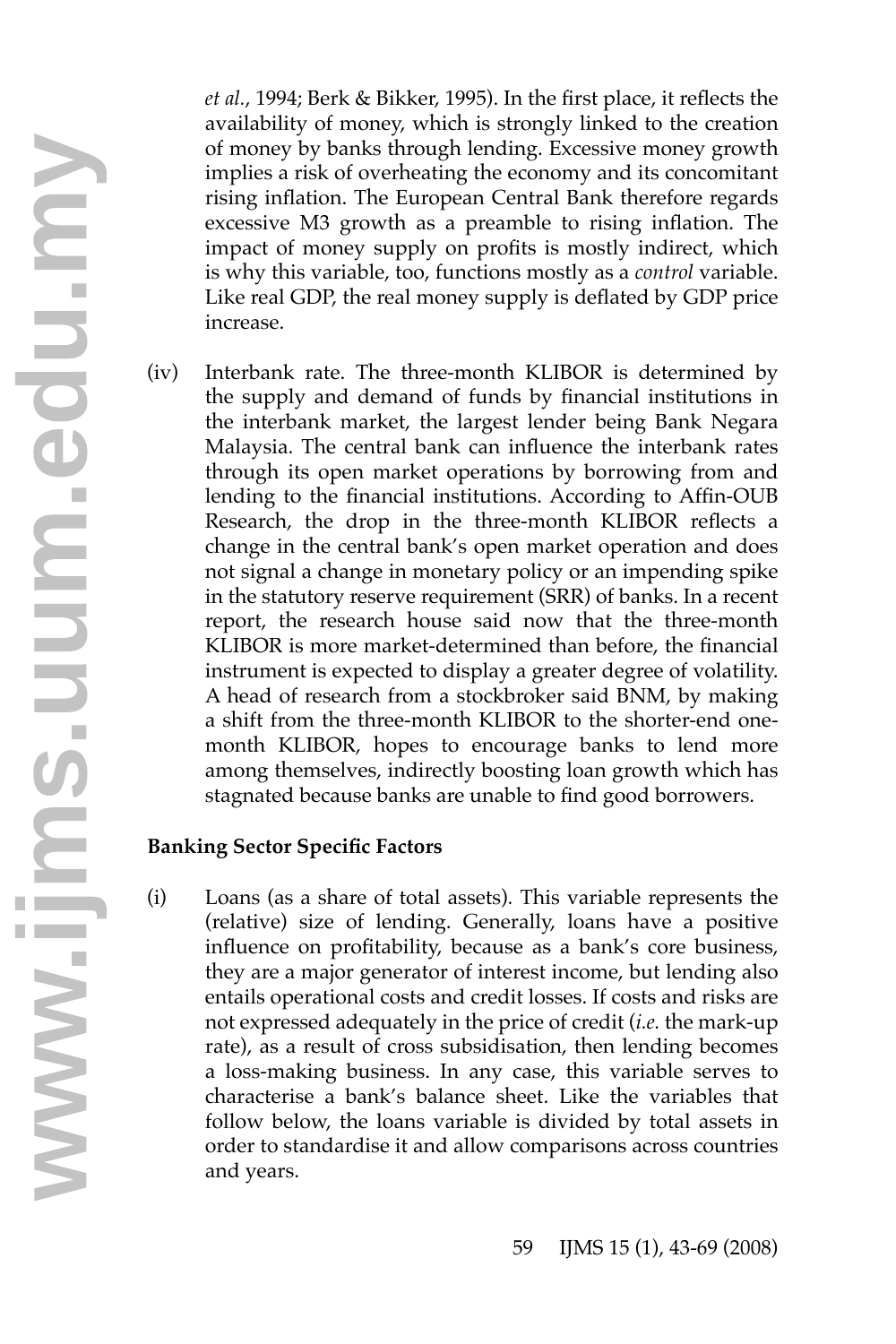*et al.*, 1994; Berk & Bikker, 1995). In the first place, it reflects the availability of money, which is strongly linked to the creation of money by banks through lending. Excessive money growth implies a risk of overheating the economy and its concomitant rising inflation. The European Central Bank therefore regards excessive M3 growth as a preamble to rising inflation. The impact of money supply on profits is mostly indirect, which is why this variable, too, functions mostly as a *control* variable. Like real GDP, the real money supply is deflated by GDP price increase.

(iv) Interbank rate. The three-month KLIBOR is determined by the supply and demand of funds by financial institutions in the interbank market, the largest lender being Bank Negara Malaysia. The central bank can influence the interbank rates through its open market operations by borrowing from and lending to the financial institutions. According to Affin-OUB Research, the drop in the three-month KLIBOR reflects a change in the central bank's open market operation and does not signal a change in monetary policy or an impending spike in the statutory reserve requirement (SRR) of banks. In a recent report, the research house said now that the three-month KLIBOR is more market-determined than before, the financial instrument is expected to display a greater degree of volatility. A head of research from a stockbroker said BNM, by making a shift from the three-month KLIBOR to the shorter-end onemonth KLIBOR, hopes to encourage banks to lend more among themselves, indirectly boosting loan growth which has stagnated because banks are unable to find good borrowers.

### **Banking Sector Specific Factors**

(i) Loans (as a share of total assets)*.* This variable represents the (relative) size of lending. Generally, loans have a positive influence on profitability, because as a bank's core business, they are a major generator of interest income, but lending also entails operational costs and credit losses. If costs and risks are not expressed adequately in the price of credit (*i.e.* the mark-up rate), as a result of cross subsidisation, then lending becomes a loss-making business. In any case, this variable serves to characterise a bank's balance sheet. Like the variables that follow below, the loans variable is divided by total assets in order to standardise it and allow comparisons across countries rate), as a<br>a loss-mak<br>characteris<br>follow belo<br>order to sta<br>and years.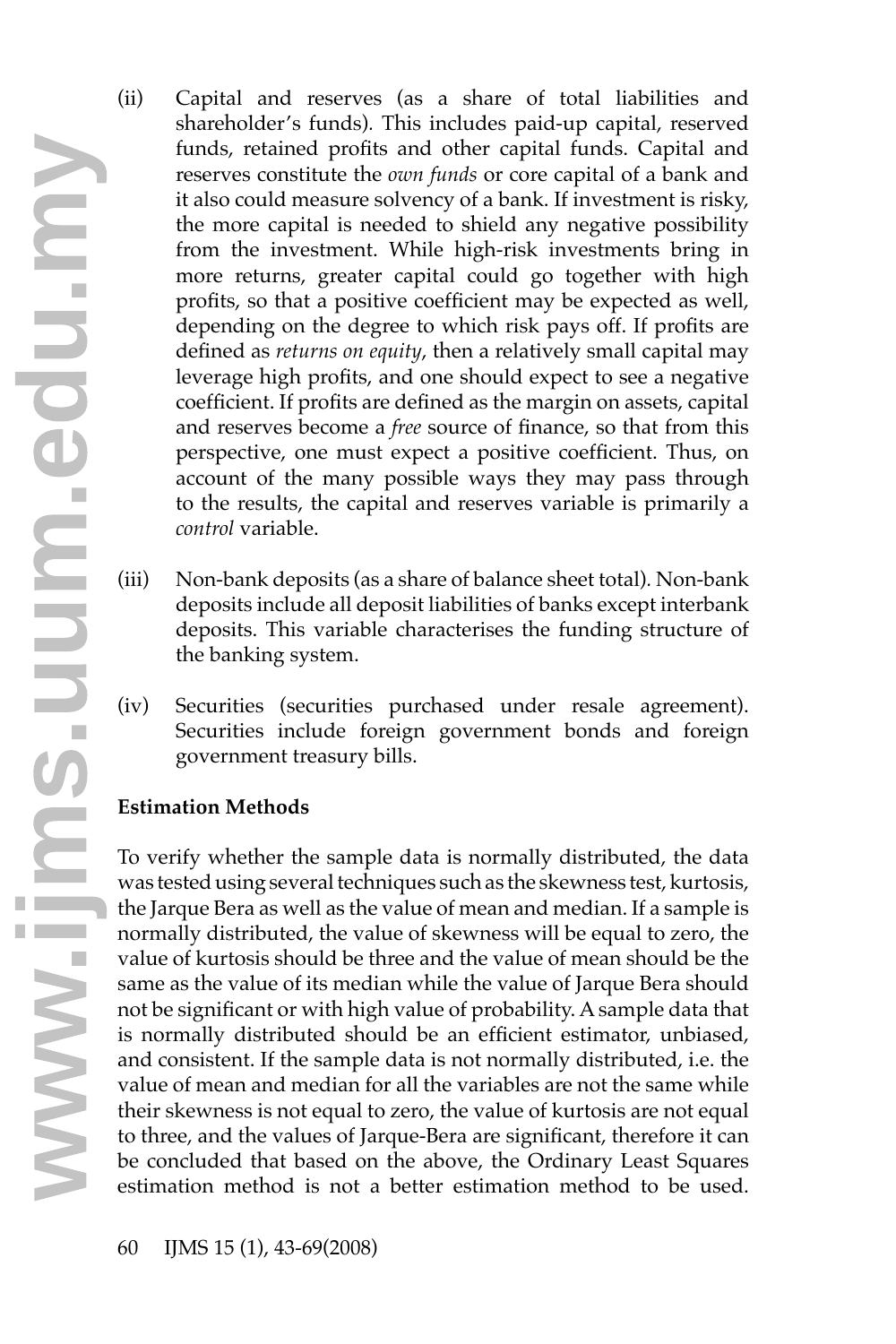- (ii) Capital and reserves (as a share of total liabilities and shareholder's funds)*.* This includes paid-up capital, reserved funds, retained profits and other capital funds. Capital and reserves constitute the *own funds* or core capital of a bank and it also could measure solvency of a bank. If investment is risky, the more capital is needed to shield any negative possibility from the investment. While high-risk investments bring in more returns, greater capital could go together with high profits, so that a positive coefficient may be expected as well, depending on the degree to which risk pays off. If profits are defined as *returns on equity*, then a relatively small capital may leverage high profits, and one should expect to see a negative coefficient. If profits are defined as the margin on assets, capital and reserves become a *free* source of finance, so that from this perspective, one must expect a positive coefficient. Thus, on account of the many possible ways they may pass through to the results, the capital and reserves variable is primarily a *control* variable.
- (iii) Non-bank deposits (as a share of balance sheet total)*.* Non-bank deposits include all deposit liabilities of banks except interbank deposits. This variable characterises the funding structure of the banking system.
- (iv) Securities (securities purchased under resale agreement). Securities include foreign government bonds and foreign government treasury bills.

# **Estimation Methods**

To verify whether the sample data is normally distributed, the data was tested using several techniques such as the skewness test, kurtosis, the Jarque Bera as well as the value of mean and median. If a sample is normally distributed, the value of skewness will be equal to zero, the value of kurtosis should be three and the value of mean should be the same as the value of its median while the value of Jarque Bera should not be significant or with high value of probability. Asample data that is normally distributed should be an efficient estimator, unbiased, and consistent. If the sample data is not normally distributed, i.e. the value of mean and median for all the variables are not the same while their skewness is not equal to zero, the value of kurtosis are not equal to thr value of mean and median for all the variables are not the same while their skewness is not equal to zero, the value of kurtosis are not equal to three, and the values of Jarque-Bera are significant, therefore it can be concluded that based on the above, the Ordinary Least Squares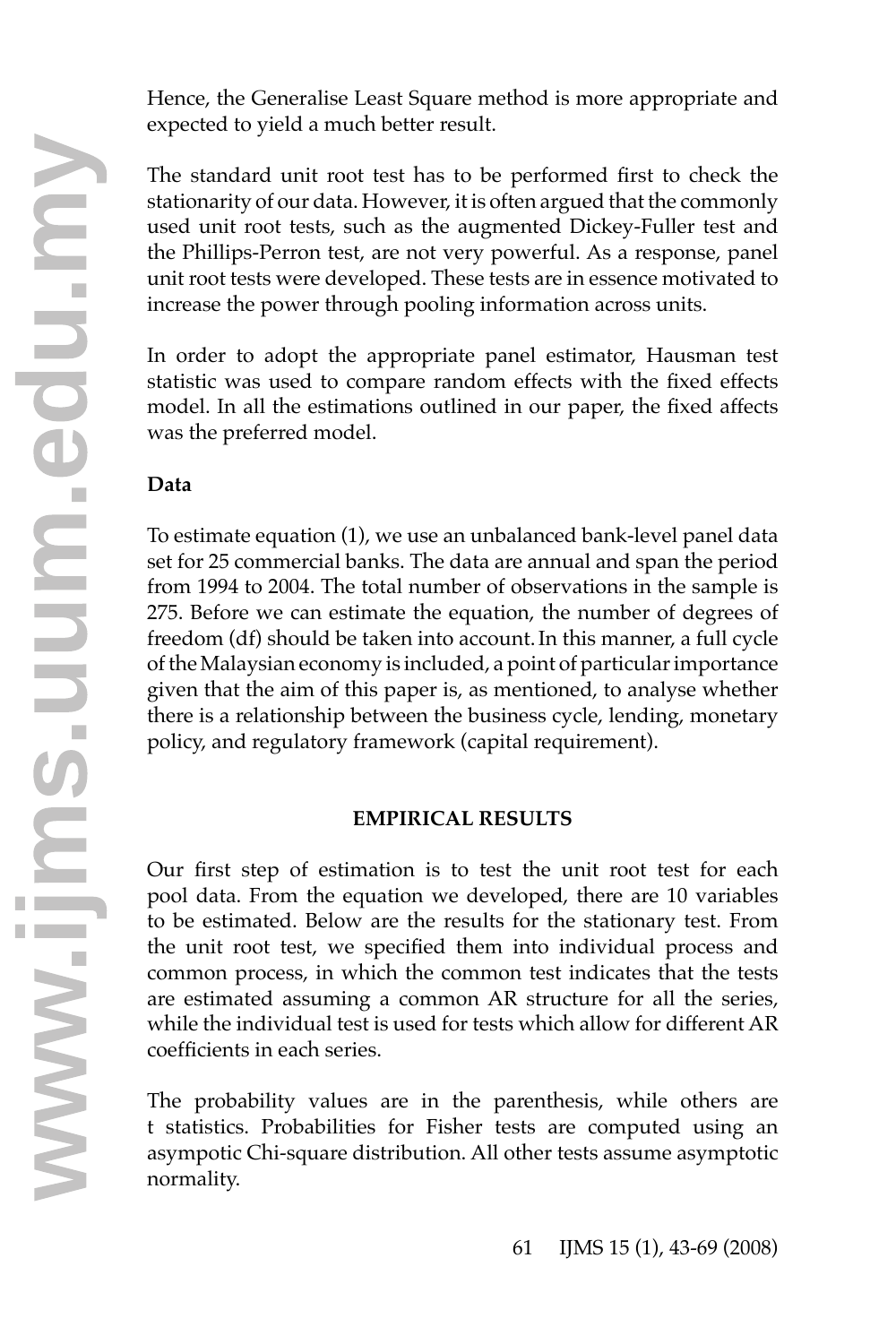Hence, the Generalise Least Square method is more appropriate and expected to yield a much better result.

The standard unit root test has to be performed first to check the stationarity of our data. However, it is often argued that the commonly used unit root tests, such as the augmented Dickey-Fuller test and the Phillips-Perron test, are not very powerful. As a response, panel unit root tests were developed. These tests are in essence motivated to increase the power through pooling information across units.

In order to adopt the appropriate panel estimator, Hausman test statistic was used to compare random effects with the fixed effects model. In all the estimations outlined in our paper, the fixed affects was the preferred model.

# **Data**

To estimate equation (1), we use an unbalanced bank-level panel data set for 25 commercial banks. The data are annual and span the period from 1994 to 2004. The total number of observations in the sample is 275. Before we can estimate the equation, the number of degrees of freedom (df) should be taken into account.In this manner, a full cycle of the Malaysian economy is included, a point of particular importance given that the aim of this paper is, as mentioned, to analyse whether there is a relationship between the business cycle, lending, monetary policy, and regulatory framework (capital requirement).

# **EMPIRICAL RESULTS**

Our first step of estimation is to test the unit root test for each pool data. From the equation we developed, there are 10 variables to be estimated. Below are the results for the stationary test. From the unit root test, we specified them into individual process and common process, in which the common test indicates that the tests are estimated assuming a common AR structure for all the series, while the individual test is used for tests which allow for different AR coefficients in each series.

The probability values are in the parenthesis, while others are t statistics. Probabilities for Fisher tests are computed using an asympotic Chi-square distribution. All other tests assume asymptotic coerncients<br>The proba<br>t statistics<br>asympotic<br>normality.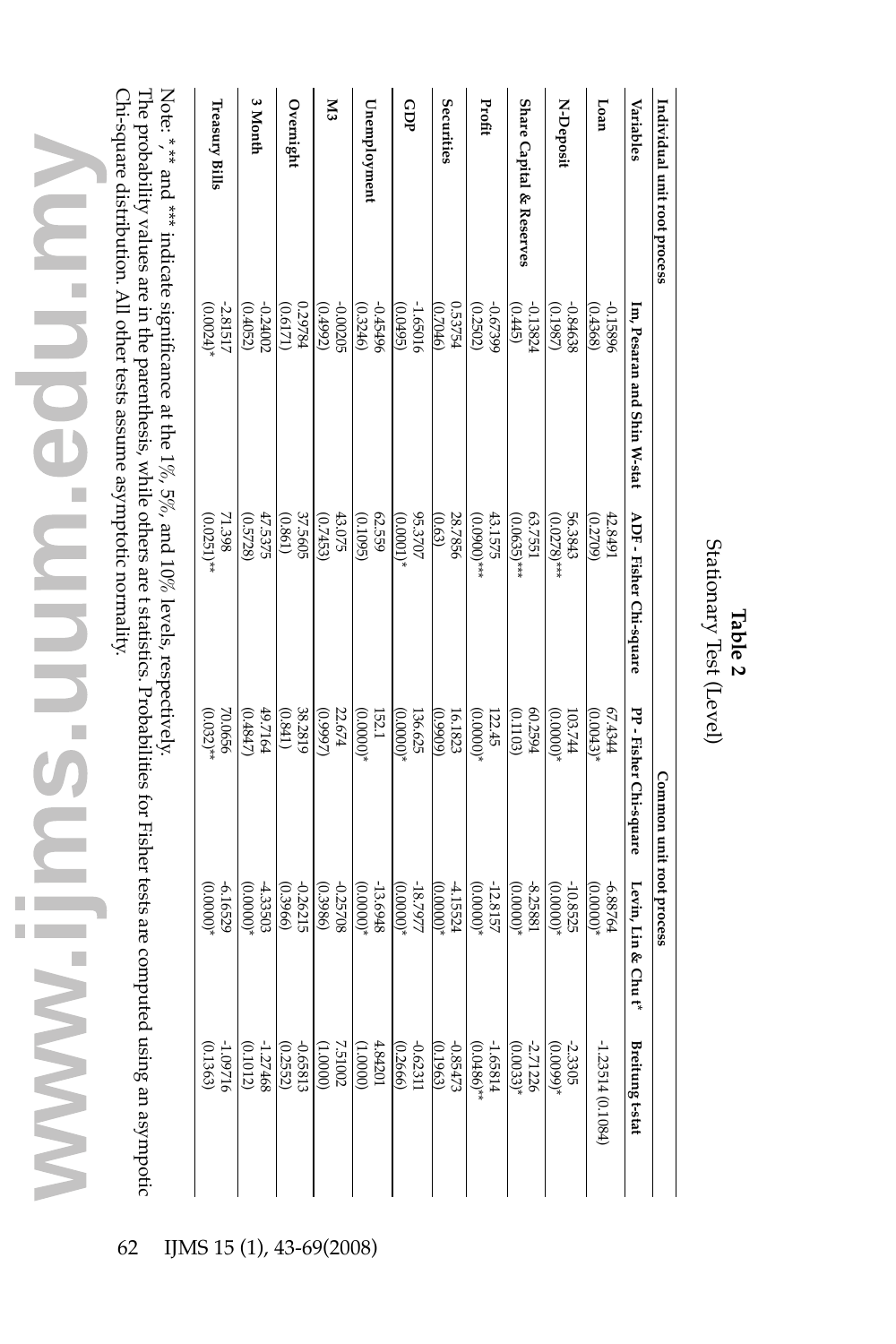| Variables                | Im, Pesaran and Shin W-stat                                                           | ADF - Fisher Chi-square   | PP - Fisher Chi-square | Levin, Lin & Chut*        | Breitung t-stat                                                                                                                                            |
|--------------------------|---------------------------------------------------------------------------------------|---------------------------|------------------------|---------------------------|------------------------------------------------------------------------------------------------------------------------------------------------------------|
| reory                    | (995f)<br>0.15896                                                                     | 42.8491<br>(0.2709)       | FFCF'49<br>$(0.0043)*$ | $(00000)*$<br>6.88764     | $-1.23514(0.1084)$                                                                                                                                         |
| N-Deposit                | (0.1987)<br>-0.84638                                                                  | 56.3843<br>$(0.0278)*$    | $*(00000)*$<br>103.744 | $-10.8525$<br>$(0.0000)*$ | $-2.3305$<br>(0.0099)*                                                                                                                                     |
| Share Capital & Reserves | (3145)<br>-0.13824                                                                    | 63.7551<br>$(0.0635)$ *** | 60.2594<br>(0.1103)    | -8.25881<br>$(0.0000)*$   | $-2.71226$<br>(0.0033)*                                                                                                                                    |
| Profit                   | 66£29°0<br>(0.2502)                                                                   | 43.1575<br>$(0.0900)***$  | $*(00000)*$<br>122.45  | -12.8157<br>$(0.0000)*$   | $-1.65814$<br>(0.0486)**                                                                                                                                   |
| Securities               | 0.53754<br>$(9 + 020)$                                                                | 28.7856<br>(0.63)         | (60660)<br>16.1823     | 4.15524<br>$(0.0000)*$    | $-0.85473$<br>(0.1963)                                                                                                                                     |
| GDP                      | -1.65016<br>(96f00)                                                                   | 95.3707<br>$(0000)$ *     | 136.625<br>$(00000)*$  | -18.7977<br>(0.0000)      |                                                                                                                                                            |
| Unemployment             | 965570<br>(0.3246)                                                                    | 62.559<br>(0.1095)        | 152.1<br>$(00000)*$    | -13.6948<br>$(0.0000)*$   | $\begin{array}{c} -0.62311\\[-4pt] 0.2666)\\[-4pt] 4.84201\\[-4pt] 0.65812\\[-4pt] -0.65812\\[-4pt] -0.65812\\[-4pt] -0.62522\\[-4pt] -0.01012\end{array}$ |
| 2                        | -0.00205<br>(0.4992)                                                                  | 43.075<br>(0.7453)        | 22.674<br>(26660)      | -0.25708<br>(0.3986)      |                                                                                                                                                            |
| Overnight                | 129784<br>(171)                                                                       | 37.5605<br>(0.861)        | 38.2819<br>(0.841)     | -0.26215<br>(0.3966)      |                                                                                                                                                            |
| 3 Month                  | -0.24002<br>(0.4052)                                                                  | 47.5375<br>(0.5728)       | 49.7164<br>$(7 + 8)$   | 4.33503<br>$(0.0000)*$    |                                                                                                                                                            |
| Treasury Bills           | -2.81517<br>(0.0024)                                                                  | 71.398<br>$(0.0251)*$     | 70.0656<br>$(0.032)*$  | $(0.0000)*$<br>-6.16529   | $-1.09716$<br>(0.1363)                                                                                                                                     |
|                          | Note: ** * and *** indicate significance at the 1%, 5%, and 10% levels, respectively. |                           |                        |                           |                                                                                                                                                            |

\*,\*\* and \*\*\* indicate significance  $\frac{m}{2}$ the 1%, 5%, and<br>E 10% levels, respectively.

The probability values are in the parenthesis, while others are t statistics. Probabilities for Fisher tests are computed using an asympotic Chi-square distribution. All other tests assume asymptotic normality. The probability values are in the parenthesis, while others are t statistics. Probabilities for Fisher tests are computed using an asympotic

Stationary Test (Level) Stationary Test (Level) **Table 2**

**Individual unit root process Common unit root process** 

Common unit root process

Individual unit root process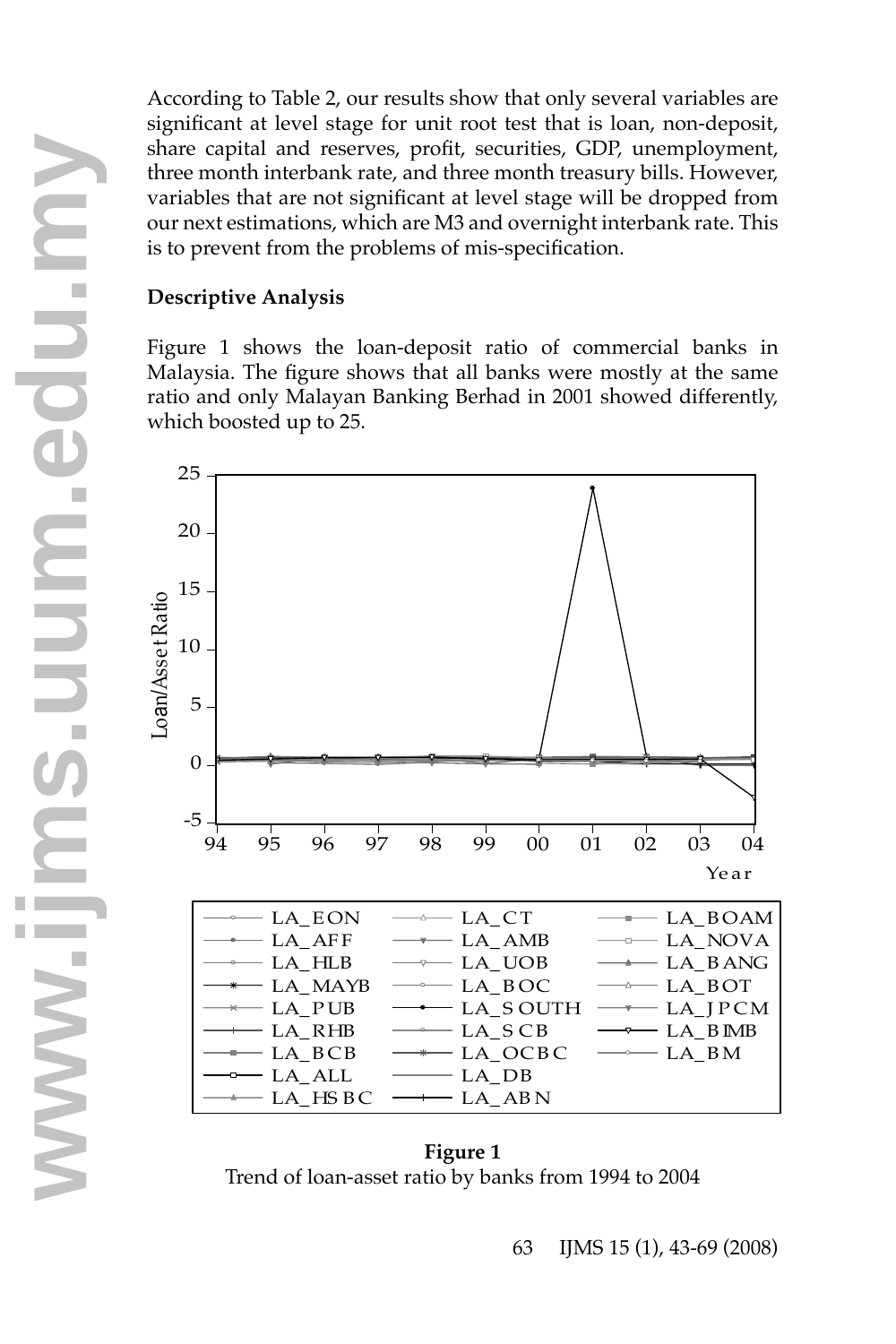significant at level stage for unit root test that is loan, non-deposit, share capital and reserves, profit, securities, GDP, unemployment, three month interbank rate, and three month treasury bills. However, variables that are not significant at level stage will be dropped from our next estimations, which are M3 and overnight interbank rate. This is to prevent from the problems of mis-specification.

### **Descriptive Analysis**

Figure 1 shows the loan-deposit ratio of commercial banks in Malaysia. The figure shows that all banks were mostly at the same ratio and only Malayan Banking Berhad in 2001 showed differently, which boosted up to 25.



**Figure 1** Trend of loan-asset ratio by banks from 1994 to 2004 **<sup>w</sup>**

63 IJMS 15 (1), 43-69 (2008)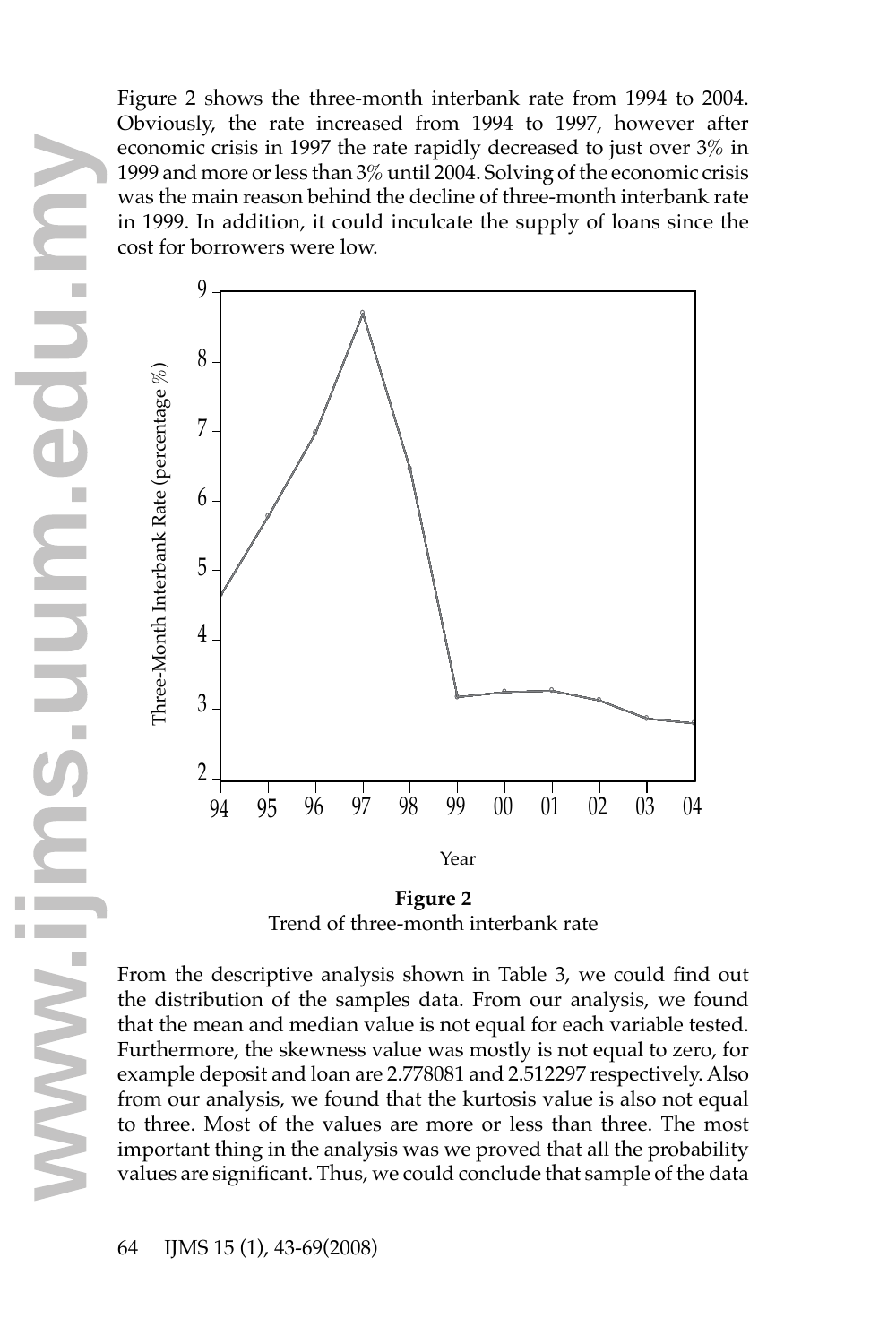Figure 2 shows the three-month interbank rate from 1994 to 2004. Obviously, the rate increased from 1994 to 1997, however after economic crisis in 1997 the rate rapidly decreased to just over 3% in 1999 and more or less than 3% until 2004. Solving of the economic crisis was the main reason behind the decline of three-month interbank rate in 1999. In addition, it could inculcate the supply of loans since the cost for borrowers were low.



**Figure 2** Trend of three-month interbank rate

From the descriptive analysis shown in Table 3, we could find out the distribution of the samples data. From our analysis, we found that the mean and median value is not equal for each variable tested. Furthermore, the skewness value was mostly is not equal to zero, for example deposit and loan are 2.778081 and 2.512297 respectively. Also from our analysis, we found that the kurtosis value is also not equal to three. Most of the values are more or less than three. The most important thing in the analysis was we proved that all the probability Furthermore, the skewness value was mostly is not equal to zero, for example deposit and loan are 2.778081 and 2.512297 respectively. Also from our analysis, we found that the kurtosis value is also not equal to three. Mos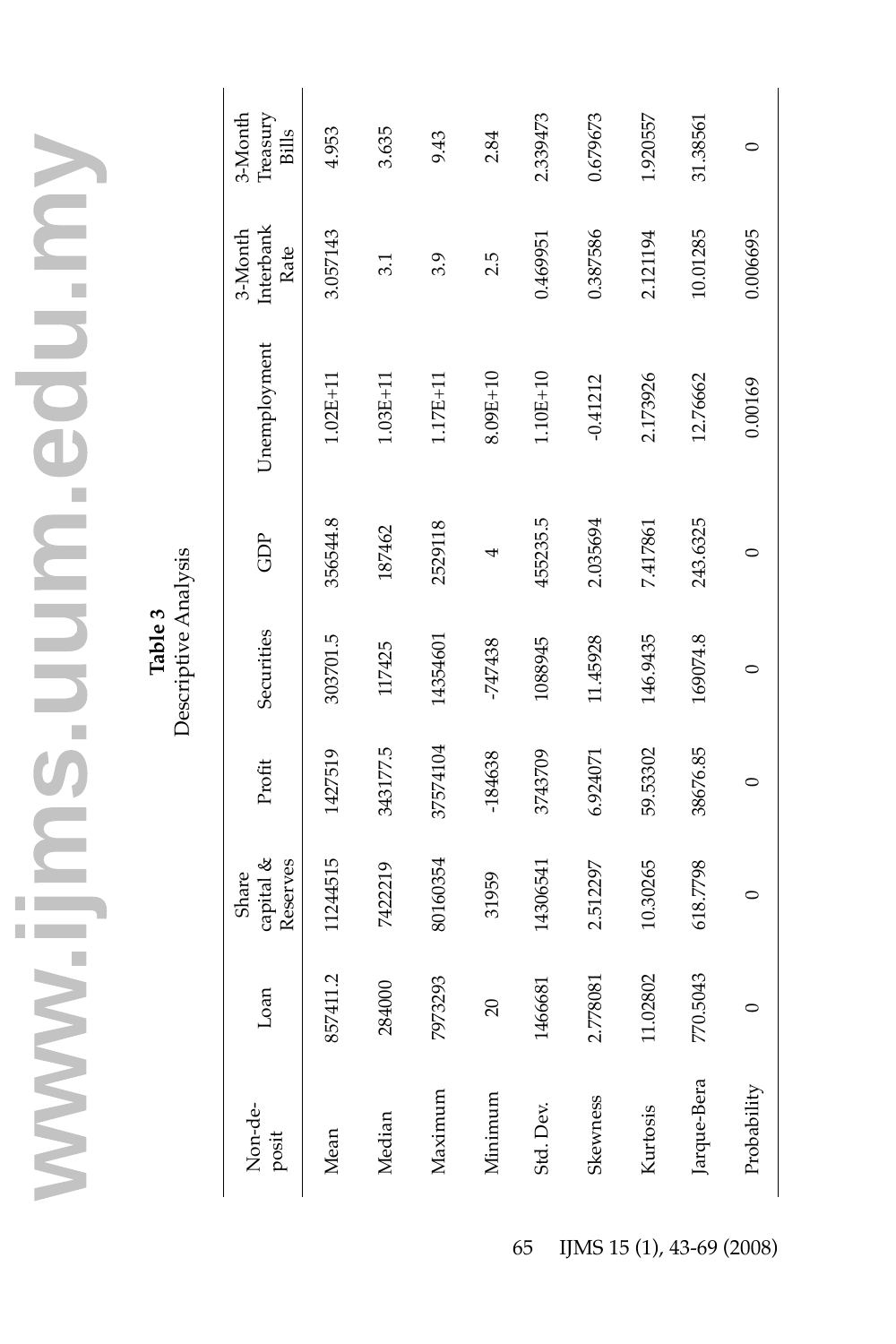Table 3<br>Descriptive Analysis Descriptive Analysis

| Non-de-<br>posit | Loan                    | capital $&$<br>Reserves<br>Share | Profit    | Securities | GDP      | Unemployment | Interbank<br>3-Month<br>Rate | 3-Month<br>Treasury<br><b>Bills</b> |
|------------------|-------------------------|----------------------------------|-----------|------------|----------|--------------|------------------------------|-------------------------------------|
| Mean             | 411.2<br>857            | 1244515                          | 1427519   | 303701.5   | 356544.8 | $1.02E + 11$ | 3.057143                     | 4.953                               |
| Median           | 284000                  | 7422219                          | 343177.5  | 117425     | 187462   | $1.03E + 11$ | 3.1                          | 3.635                               |
| Maximum          | 7973293                 | 80160354                         | 37574104  | 14354601   | 2529118  | $1.17E+11$   | 3.9                          | 9.43                                |
| Minimum          | 20                      | 31959                            | $-184638$ | -747438    | 4        | 8.09E+10     | 2.5                          | 2.84                                |
| Std. Dev.        | 1466681                 | 14306541                         | 3743709   | 1088945    | 455235.5 | $1.10E+10$   | 0.469951                     | 2.339473                            |
| Skewness         | 78081<br>2.77           | 2.512297                         | 6.924071  | 11.45928   | 2.035694 | $-0.41212$   | 0.387586                     | 0.679673                            |
| Kurtosis         | 02802<br>$\frac{1}{11}$ | 10.30265                         | 59.53302  | 146.9435   | 7.417861 | 2.173926     | 2.121194                     | 1.920557                            |
| Jarque-Bera      | 5043<br>770.            | 618.7798                         | 38676.85  | 169074.8   | 243.6325 | 12.76662     | 10.01285                     | 31.38561                            |
| Probability      |                         |                                  |           |            |          | 0.00169      | 0.006695                     |                                     |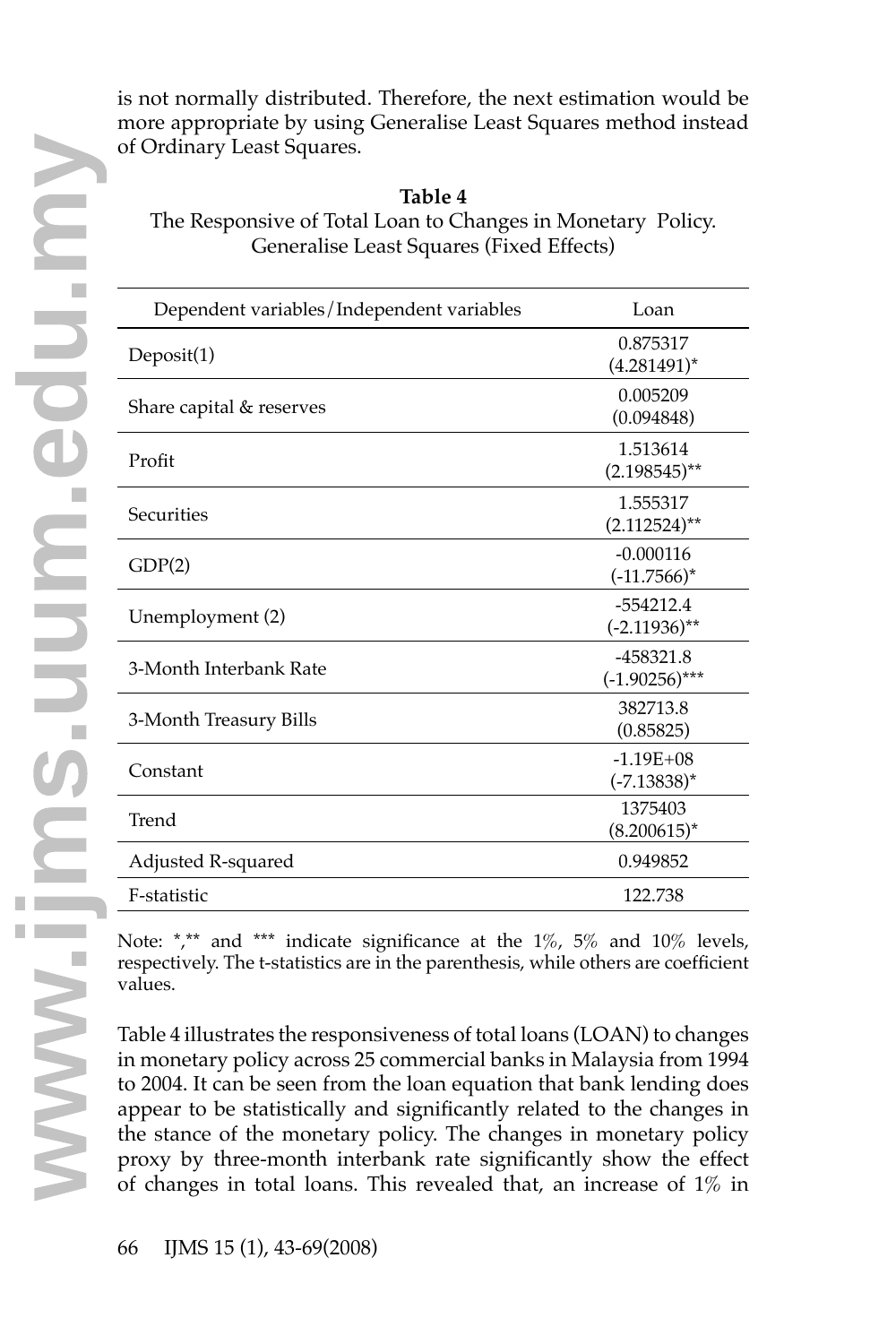is not normally distributed. Therefore, the next estimation would be more appropriate by using Generalise Least Squares method instead of Ordinary Least Squares.

### **Table 4**

The Responsive of Total Loan to Changes in Monetary Policy. Generalise Least Squares (Fixed Effects)

| Dependent variables/Independent variables | Loan                            |
|-------------------------------------------|---------------------------------|
| Deposit(1)                                | 0.875317<br>$(4.281491)^*$      |
| Share capital & reserves                  | 0.005209<br>(0.094848)          |
| Profit                                    | 1.513614<br>$(2.198545)$ **     |
| Securities                                | 1.555317<br>$(2.112524)$ **     |
| GDP(2)                                    | $-0.000116$<br>$(-11.7566)^*$   |
| Unemployment (2)                          | $-554212.4$<br>$(-2.11936)$ **  |
| 3-Month Interbank Rate                    | $-458321.8$<br>$(-1.90256)$ *** |
| 3-Month Treasury Bills                    | 382713.8<br>(0.85825)           |
| Constant                                  | $-1.19E + 08$<br>$(-7.13838)^*$ |
| Trend                                     | 1375403<br>$(8.200615)^*$       |
| Adjusted R-squared                        | 0.949852                        |
| F-statistic                               | 122.738                         |

Note: \*,\*\* and \*\*\* indicate significance at the 1%, 5% and 10% levels, respectively. The t-statistics are in the parenthesis, while others are coefficient values.

Table 4 illustrates the responsiveness of total loans (LOAN) to changes in monetary policy across 25 commercial banks in Malaysia from 1994 to 2004. It can be seen from the loan equation that bank lending does appear to be statistically and significantly related to the changes in the stance of the monetary policy. The changes in monetary policy proxy by three-month interbank rate significantly show the effect in monetary policy across 25 commercial banks in Malaysia from 1994<br>to 2004. It can be seen from the loan equation that bank lending does<br>appear to be statistically and significantly related to the changes in<br>the stance o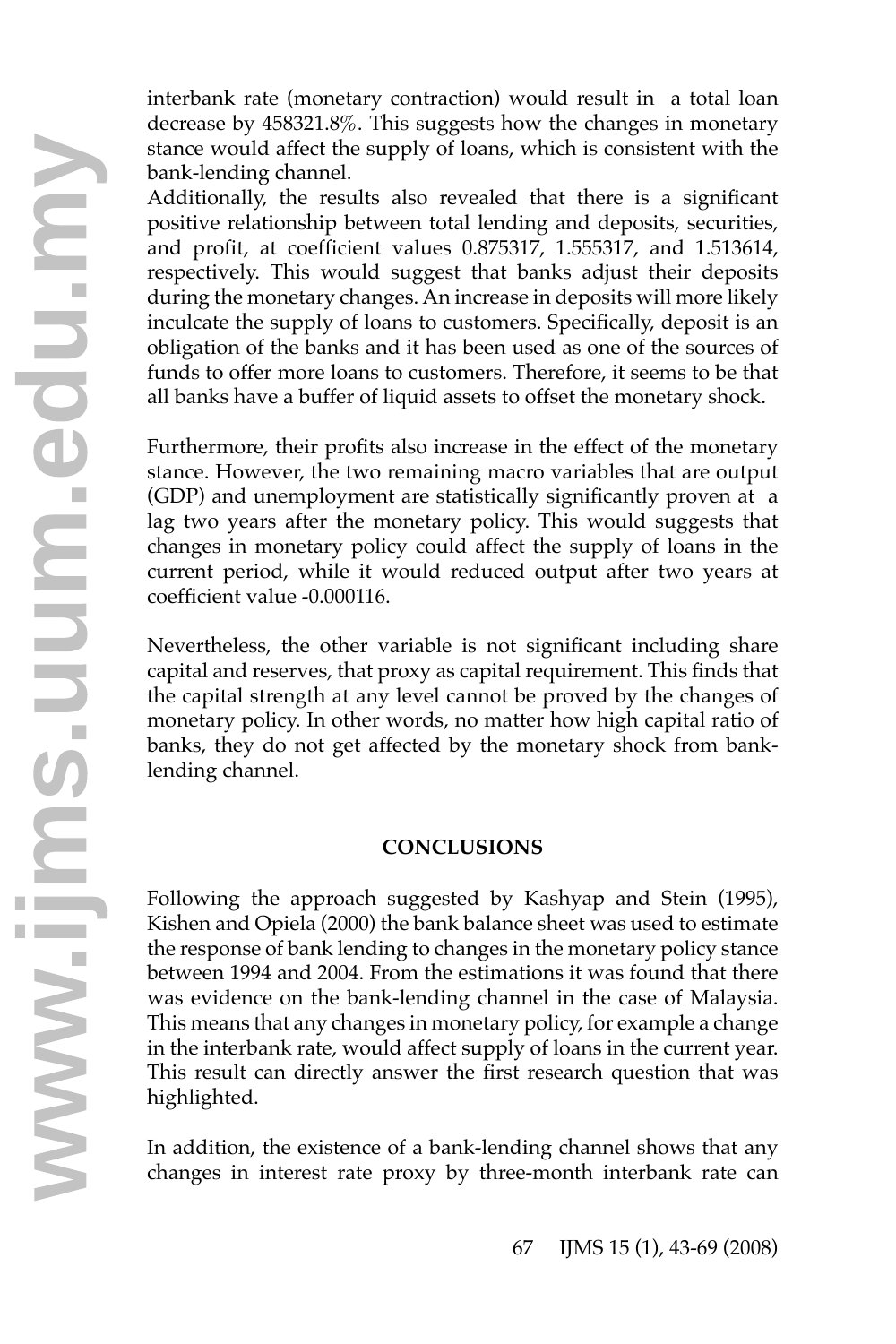interbank rate (monetary contraction) would result in a total loan decrease by 458321.8%. This suggests how the changes in monetary stance would affect the supply of loans, which is consistent with the bank-lending channel.

Additionally, the results also revealed that there is a significant positive relationship between total lending and deposits, securities, and profit, at coefficient values 0.875317, 1.555317, and 1.513614, respectively. This would suggest that banks adjust their deposits during the monetary changes. An increase in deposits will more likely inculcate the supply of loans to customers. Specifically, deposit is an obligation of the banks and it has been used as one of the sources of funds to offer more loans to customers. Therefore, it seems to be that all banks have a buffer of liquid assets to offset the monetary shock.

Furthermore, their profits also increase in the effect of the monetary stance. However, the two remaining macro variables that are output (GDP) and unemployment are statistically significantly proven at a lag two years after the monetary policy. This would suggests that changes in monetary policy could affect the supply of loans in the current period, while it would reduced output after two years at coefficient value -0.000116.

Nevertheless, the other variable is not significant including share capital and reserves, that proxy as capital requirement. This finds that the capital strength at any level cannot be proved by the changes of monetary policy. In other words, no matter how high capital ratio of banks, they do not get affected by the monetary shock from banklending channel.

### **CONCLUSIONS**

Following the approach suggested by Kashyap and Stein (1995), Kishen and Opiela (2000) the bank balance sheet was used to estimate the response of bank lending to changes in the monetary policy stance between 1994 and 2004. From the estimations it was found that there was evidence on the bank-lending channel in the case of Malaysia. This means that any changes in monetary policy, for example a change in the interbank rate, would affect supply of loans in the current year. This result can directly answer the first research question that was highlighted. In the interbank rate, would affect supply of loans in the current year.<br>This result can directly answer the first research question that was<br>highlighted.<br>In addition, the existence of a bank-lending channel shows that any

In addition, the existence of a bank-lending channel shows that any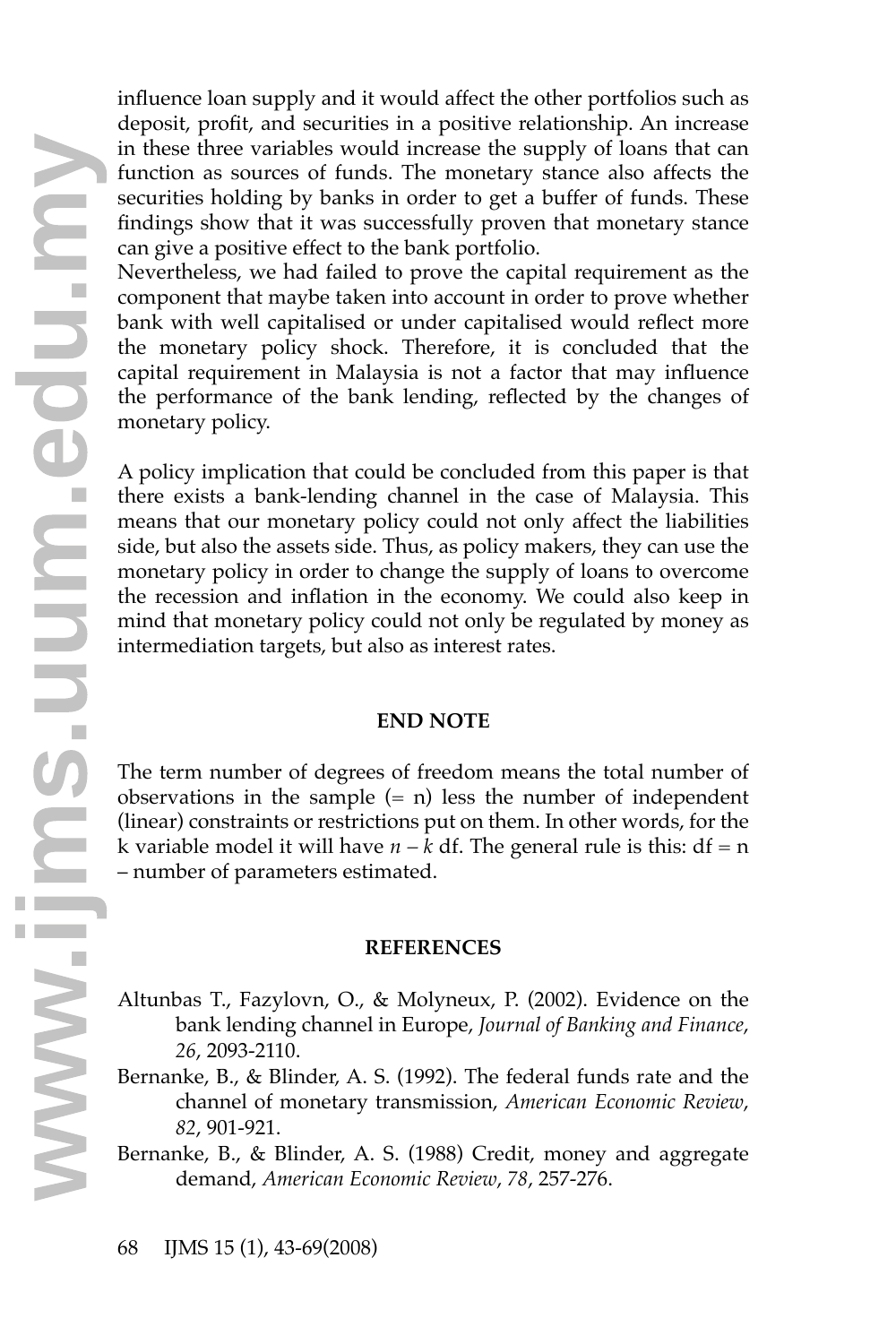influence loan supply and it would affect the other portfolios such as deposit, profit, and securities in a positive relationship. An increase in these three variables would increase the supply of loans that can function as sources of funds. The monetary stance also affects the securities holding by banks in order to get a buffer of funds. These findings show that it was successfully proven that monetary stance can give a positive effect to the bank portfolio.

Nevertheless, we had failed to prove the capital requirement as the component that maybe taken into account in order to prove whether bank with well capitalised or under capitalised would reflect more the monetary policy shock. Therefore, it is concluded that the capital requirement in Malaysia is not a factor that may influence the performance of the bank lending, reflected by the changes of monetary policy.

A policy implication that could be concluded from this paper is that there exists a bank-lending channel in the case of Malaysia. This means that our monetary policy could not only affect the liabilities side, but also the assets side. Thus, as policy makers, they can use the monetary policy in order to change the supply of loans to overcome the recession and inflation in the economy. We could also keep in mind that monetary policy could not only be regulated by money as intermediation targets, but also as interest rates.

### **END NOTE**

The term number of degrees of freedom means the total number of observations in the sample  $(= n)$  less the number of independent (linear) constraints or restrictions put on them. In other words, for the k variable model it will have  $n - k$  df. The general rule is this:  $df = n$ – number of parameters estimated.

### **REFERENCES**

- Altunbas T., Fazylovn, O., & Molyneux, P. (2002). Evidence on the bank lending channel in Europe, *Journal of Banking and Finance*, *26*, 2093-2110.
- Bernanke, B., & Blinder, A. S. (1992). The federal funds rate and the channel of monetary transmission, *American Economic Review*, *82*, 901-921. 26, 2093-2110.<br>Bernanke, B., & Blinder, A. S. (1992). The federal fund<br>channel of monetary transmission, *American Eco*<br> $82$ , 901-921.<br>Bernanke, B., & Blinder, A. S. (1988) Credit, money<br>demand, *American Economic Review*,
	- Bernanke, B., & Blinder, A. S. (1988) Credit, money and aggregate